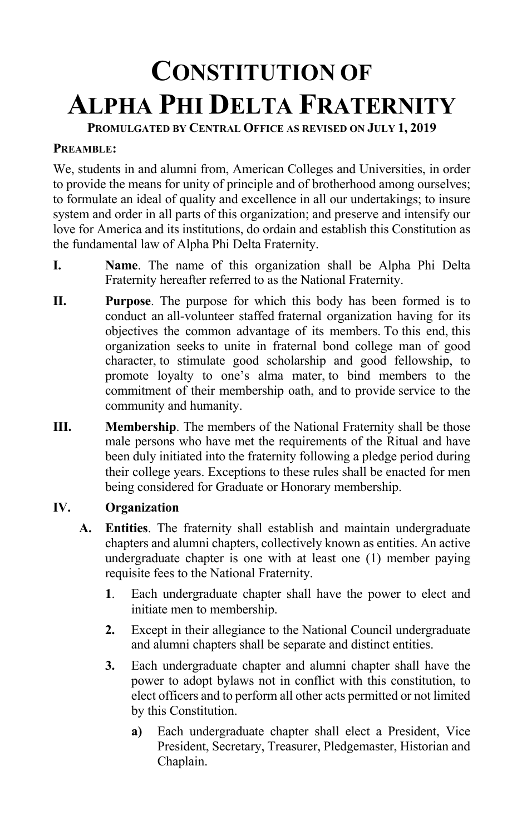# **CONSTITUTION OF ALPHA PHI DELTA FRATERNITY**

**PROMULGATED BY CENTRAL OFFICE AS REVISED ON JULY 1, 2019**

#### **PREAMBLE:**

We, students in and alumni from, American Colleges and Universities, in order to provide the means for unity of principle and of brotherhood among ourselves; to formulate an ideal of quality and excellence in all our undertakings; to insure system and order in all parts of this organization; and preserve and intensify our love for America and its institutions, do ordain and establish this Constitution as the fundamental law of Alpha Phi Delta Fraternity.

- **I. Name**. The name of this organization shall be Alpha Phi Delta Fraternity hereafter referred to as the National Fraternity.
- **II. Purpose**. The purpose for which this body has been formed is to conduct an all-volunteer staffed fraternal organization having for its objectives the common advantage of its members. To this end, this organization seeks to unite in fraternal bond college man of good character, to stimulate good scholarship and good fellowship, to promote loyalty to one's alma mater, to bind members to the commitment of their membership oath, and to provide service to the community and humanity.
- **III. Membership**. The members of the National Fraternity shall be those male persons who have met the requirements of the Ritual and have been duly initiated into the fraternity following a pledge period during their college years. Exceptions to these rules shall be enacted for men being considered for Graduate or Honorary membership.

## **IV. Organization**

- **A. Entities**. The fraternity shall establish and maintain undergraduate chapters and alumni chapters, collectively known as entities. An active undergraduate chapter is one with at least one (1) member paying requisite fees to the National Fraternity.
	- **1**. Each undergraduate chapter shall have the power to elect and initiate men to membership.
	- **2.** Except in their allegiance to the National Council undergraduate and alumni chapters shall be separate and distinct entities.
	- **3.** Each undergraduate chapter and alumni chapter shall have the power to adopt bylaws not in conflict with this constitution, to elect officers and to perform all other acts permitted or not limited by this Constitution.
		- **a)** Each undergraduate chapter shall elect a President, Vice President, Secretary, Treasurer, Pledgemaster, Historian and Chaplain.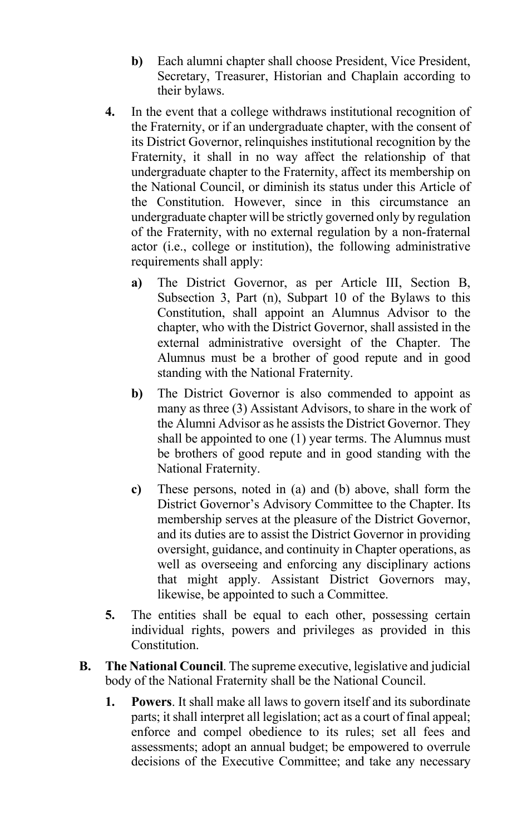- **b)** Each alumni chapter shall choose President, Vice President, Secretary, Treasurer, Historian and Chaplain according to their bylaws.
- **4.** In the event that a college withdraws institutional recognition of the Fraternity, or if an undergraduate chapter, with the consent of its District Governor, relinquishes institutional recognition by the Fraternity, it shall in no way affect the relationship of that undergraduate chapter to the Fraternity, affect its membership on the National Council, or diminish its status under this Article of the Constitution. However, since in this circumstance an undergraduate chapter will be strictly governed only by regulation of the Fraternity, with no external regulation by a non-fraternal actor (i.e., college or institution), the following administrative requirements shall apply:
	- **a)** The District Governor, as per Article III, Section B, Subsection 3, Part (n), Subpart 10 of the Bylaws to this Constitution, shall appoint an Alumnus Advisor to the chapter, who with the District Governor, shall assisted in the external administrative oversight of the Chapter. The Alumnus must be a brother of good repute and in good standing with the National Fraternity.
	- **b)** The District Governor is also commended to appoint as many as three (3) Assistant Advisors, to share in the work of the Alumni Advisor as he assists the District Governor. They shall be appointed to one (1) year terms. The Alumnus must be brothers of good repute and in good standing with the National Fraternity.
	- **c)** These persons, noted in (a) and (b) above, shall form the District Governor's Advisory Committee to the Chapter. Its membership serves at the pleasure of the District Governor, and its duties are to assist the District Governor in providing oversight, guidance, and continuity in Chapter operations, as well as overseeing and enforcing any disciplinary actions that might apply. Assistant District Governors may, likewise, be appointed to such a Committee.
- **5.** The entities shall be equal to each other, possessing certain individual rights, powers and privileges as provided in this Constitution.
- **B. The National Council**. The supreme executive, legislative and judicial body of the National Fraternity shall be the National Council.
	- **1. Powers**. It shall make all laws to govern itself and its subordinate parts; it shall interpret all legislation; act as a court of final appeal; enforce and compel obedience to its rules; set all fees and assessments; adopt an annual budget; be empowered to overrule decisions of the Executive Committee; and take any necessary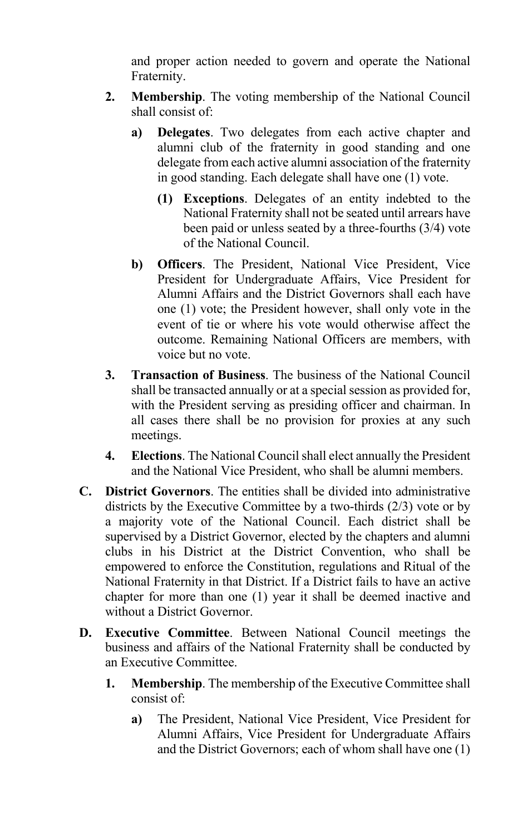and proper action needed to govern and operate the National Fraternity.

- **2. Membership**. The voting membership of the National Council shall consist of:
	- **a) Delegates**. Two delegates from each active chapter and alumni club of the fraternity in good standing and one delegate from each active alumni association of the fraternity in good standing. Each delegate shall have one (1) vote.
		- **(1) Exceptions**. Delegates of an entity indebted to the National Fraternity shall not be seated until arrears have been paid or unless seated by a three-fourths (3/4) vote of the National Council.
	- **b) Officers**. The President, National Vice President, Vice President for Undergraduate Affairs, Vice President for Alumni Affairs and the District Governors shall each have one (1) vote; the President however, shall only vote in the event of tie or where his vote would otherwise affect the outcome. Remaining National Officers are members, with voice but no vote.
- **3. Transaction of Business**. The business of the National Council shall be transacted annually or at a special session as provided for, with the President serving as presiding officer and chairman. In all cases there shall be no provision for proxies at any such meetings.
- **4. Elections**. The National Council shall elect annually the President and the National Vice President, who shall be alumni members.
- **C. District Governors**. The entities shall be divided into administrative districts by the Executive Committee by a two-thirds (2/3) vote or by a majority vote of the National Council. Each district shall be supervised by a District Governor, elected by the chapters and alumni clubs in his District at the District Convention, who shall be empowered to enforce the Constitution, regulations and Ritual of the National Fraternity in that District. If a District fails to have an active chapter for more than one (1) year it shall be deemed inactive and without a District Governor.
- **D. Executive Committee**. Between National Council meetings the business and affairs of the National Fraternity shall be conducted by an Executive Committee.
	- **1. Membership**. The membership of the Executive Committee shall consist of:
		- **a)** The President, National Vice President, Vice President for Alumni Affairs, Vice President for Undergraduate Affairs and the District Governors; each of whom shall have one (1)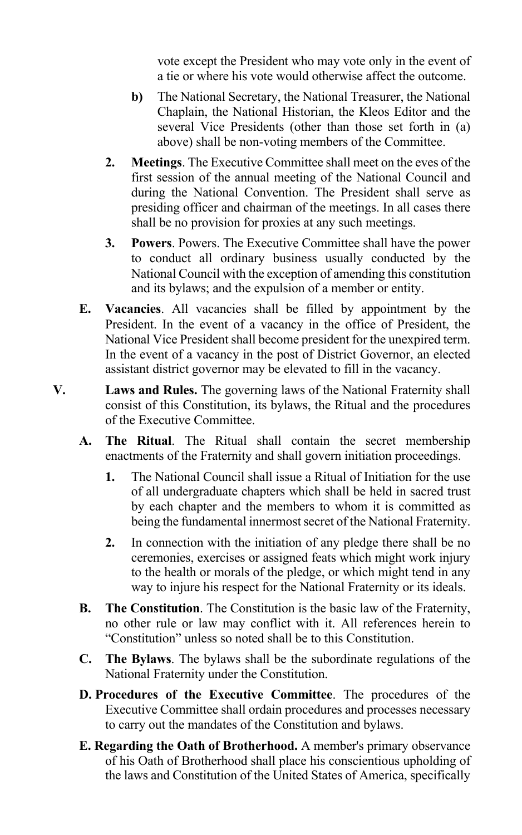vote except the President who may vote only in the event of a tie or where his vote would otherwise affect the outcome.

- **b)** The National Secretary, the National Treasurer, the National Chaplain, the National Historian, the Kleos Editor and the several Vice Presidents (other than those set forth in (a) above) shall be non-voting members of the Committee.
- **2. Meetings**. The Executive Committee shall meet on the eves of the first session of the annual meeting of the National Council and during the National Convention. The President shall serve as presiding officer and chairman of the meetings. In all cases there shall be no provision for proxies at any such meetings.
- **3. Powers**. Powers. The Executive Committee shall have the power to conduct all ordinary business usually conducted by the National Council with the exception of amending this constitution and its bylaws; and the expulsion of a member or entity.
- **E. Vacancies**. All vacancies shall be filled by appointment by the President. In the event of a vacancy in the office of President, the National Vice President shall become president for the unexpired term. In the event of a vacancy in the post of District Governor, an elected assistant district governor may be elevated to fill in the vacancy.
- **V. Laws and Rules.** The governing laws of the National Fraternity shall consist of this Constitution, its bylaws, the Ritual and the procedures of the Executive Committee.
	- **A. The Ritual**. The Ritual shall contain the secret membership enactments of the Fraternity and shall govern initiation proceedings.
		- **1.** The National Council shall issue a Ritual of Initiation for the use of all undergraduate chapters which shall be held in sacred trust by each chapter and the members to whom it is committed as being the fundamental innermost secret of the National Fraternity.
		- **2.** In connection with the initiation of any pledge there shall be no ceremonies, exercises or assigned feats which might work injury to the health or morals of the pledge, or which might tend in any way to injure his respect for the National Fraternity or its ideals.
	- **B. The Constitution**. The Constitution is the basic law of the Fraternity, no other rule or law may conflict with it. All references herein to "Constitution" unless so noted shall be to this Constitution.
	- **C. The Bylaws**. The bylaws shall be the subordinate regulations of the National Fraternity under the Constitution.
	- **D. Procedures of the Executive Committee**. The procedures of the Executive Committee shall ordain procedures and processes necessary to carry out the mandates of the Constitution and bylaws.
	- **E. Regarding the Oath of Brotherhood.** A member's primary observance of his Oath of Brotherhood shall place his conscientious upholding of the laws and Constitution of the United States of America, specifically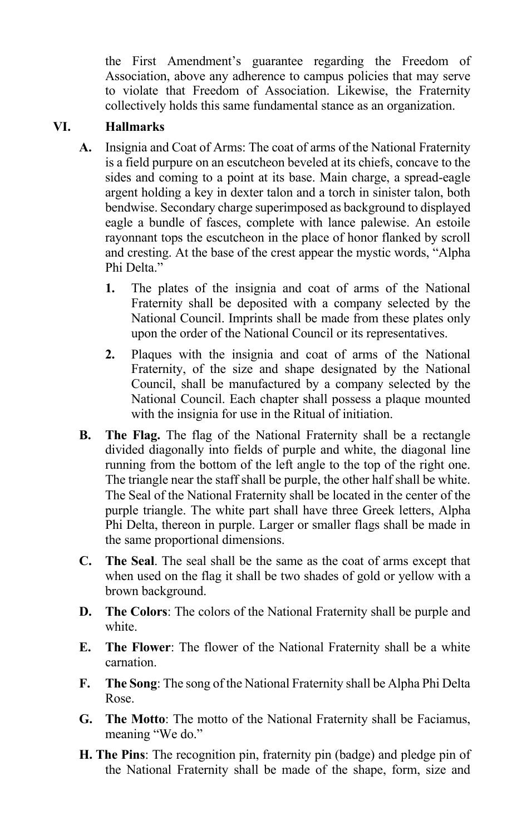the First Amendment's guarantee regarding the Freedom of Association, above any adherence to campus policies that may serve to violate that Freedom of Association. Likewise, the Fraternity collectively holds this same fundamental stance as an organization.

## **VI. Hallmarks**

- **A.** Insignia and Coat of Arms: The coat of arms of the National Fraternity is a field purpure on an escutcheon beveled at its chiefs, concave to the sides and coming to a point at its base. Main charge, a spread-eagle argent holding a key in dexter talon and a torch in sinister talon, both bendwise. Secondary charge superimposed as background to displayed eagle a bundle of fasces, complete with lance palewise. An estoile rayonnant tops the escutcheon in the place of honor flanked by scroll and cresting. At the base of the crest appear the mystic words, "Alpha Phi Delta."
	- **1.** The plates of the insignia and coat of arms of the National Fraternity shall be deposited with a company selected by the National Council. Imprints shall be made from these plates only upon the order of the National Council or its representatives.
	- **2.** Plaques with the insignia and coat of arms of the National Fraternity, of the size and shape designated by the National Council, shall be manufactured by a company selected by the National Council. Each chapter shall possess a plaque mounted with the insignia for use in the Ritual of initiation.
- **B. The Flag.** The flag of the National Fraternity shall be a rectangle divided diagonally into fields of purple and white, the diagonal line running from the bottom of the left angle to the top of the right one. The triangle near the staff shall be purple, the other half shall be white. The Seal of the National Fraternity shall be located in the center of the purple triangle. The white part shall have three Greek letters, Alpha Phi Delta, thereon in purple. Larger or smaller flags shall be made in the same proportional dimensions.
- **C. The Seal**. The seal shall be the same as the coat of arms except that when used on the flag it shall be two shades of gold or yellow with a brown background.
- **D. The Colors**: The colors of the National Fraternity shall be purple and white.
- **E. The Flower**: The flower of the National Fraternity shall be a white carnation.
- **F. The Song**: The song of the National Fraternity shall be Alpha Phi Delta Rose.
- **G. The Motto**: The motto of the National Fraternity shall be Faciamus, meaning "We do."
- **H. The Pins**: The recognition pin, fraternity pin (badge) and pledge pin of the National Fraternity shall be made of the shape, form, size and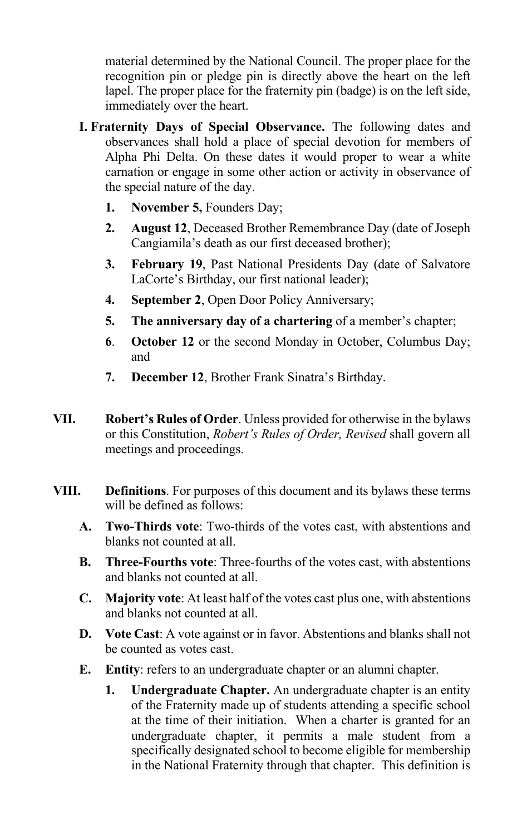material determined by the National Council. The proper place for the recognition pin or pledge pin is directly above the heart on the left lapel. The proper place for the fraternity pin (badge) is on the left side, immediately over the heart.

- **I. Fraternity Days of Special Observance.** The following dates and observances shall hold a place of special devotion for members of Alpha Phi Delta. On these dates it would proper to wear a white carnation or engage in some other action or activity in observance of the special nature of the day.
	- **1. November 5,** Founders Day;
	- **2. August 12**, Deceased Brother Remembrance Day (date of Joseph Cangiamila's death as our first deceased brother);
	- **3. February 19**, Past National Presidents Day (date of Salvatore LaCorte's Birthday, our first national leader);
	- **4. September 2**, Open Door Policy Anniversary;
	- **5. The anniversary day of a chartering** of a member's chapter;
	- **6**. **October 12** or the second Monday in October, Columbus Day; and
	- **7. December 12**, Brother Frank Sinatra's Birthday.
- **VII. Robert's Rules of Order**. Unless provided for otherwise in the bylaws or this Constitution, *Robert's Rules of Order, Revised* shall govern all meetings and proceedings.
- **VIII. Definitions**. For purposes of this document and its bylaws these terms will be defined as follows:
	- **A. Two-Thirds vote**: Two-thirds of the votes cast, with abstentions and blanks not counted at all.
	- **B. Three-Fourths vote**: Three-fourths of the votes cast, with abstentions and blanks not counted at all.
	- **C. Majority vote**: At least half of the votes cast plus one, with abstentions and blanks not counted at all.
	- **D. Vote Cast**: A vote against or in favor. Abstentions and blanks shall not be counted as votes cast.
	- **E. Entity**: refers to an undergraduate chapter or an alumni chapter.
		- **1. Undergraduate Chapter.** An undergraduate chapter is an entity of the Fraternity made up of students attending a specific school at the time of their initiation. When a charter is granted for an undergraduate chapter, it permits a male student from a specifically designated school to become eligible for membership in the National Fraternity through that chapter. This definition is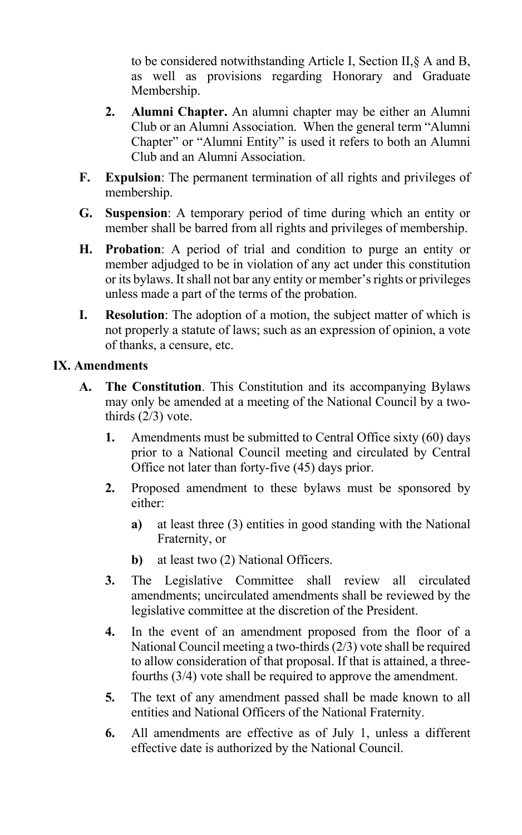to be considered notwithstanding Article I, Section II,§ A and B, as well as provisions regarding Honorary and Graduate Membership.

- **2. Alumni Chapter.** An alumni chapter may be either an Alumni Club or an Alumni Association. When the general term "Alumni Chapter" or "Alumni Entity" is used it refers to both an Alumni Club and an Alumni Association.
- **F. Expulsion**: The permanent termination of all rights and privileges of membership.
- **G. Suspension**: A temporary period of time during which an entity or member shall be barred from all rights and privileges of membership.
- **H. Probation**: A period of trial and condition to purge an entity or member adjudged to be in violation of any act under this constitution or its bylaws. It shall not bar any entity or member's rights or privileges unless made a part of the terms of the probation.
- **I. Resolution**: The adoption of a motion, the subject matter of which is not properly a statute of laws; such as an expression of opinion, a vote of thanks, a censure, etc.

## **IX. Amendments**

- **A. The Constitution**. This Constitution and its accompanying Bylaws may only be amended at a meeting of the National Council by a twothirds (2/3) vote.
	- **1.** Amendments must be submitted to Central Office sixty (60) days prior to a National Council meeting and circulated by Central Office not later than forty-five (45) days prior.
	- **2.** Proposed amendment to these bylaws must be sponsored by either:
		- **a)** at least three (3) entities in good standing with the National Fraternity, or
		- **b**) at least two (2) National Officers.
	- **3.** The Legislative Committee shall review all circulated amendments; uncirculated amendments shall be reviewed by the legislative committee at the discretion of the President.
	- **4.** In the event of an amendment proposed from the floor of a National Council meeting a two-thirds (2/3) vote shall be required to allow consideration of that proposal. If that is attained, a threefourths (3/4) vote shall be required to approve the amendment.
	- **5.** The text of any amendment passed shall be made known to all entities and National Officers of the National Fraternity.
	- **6.** All amendments are effective as of July 1, unless a different effective date is authorized by the National Council.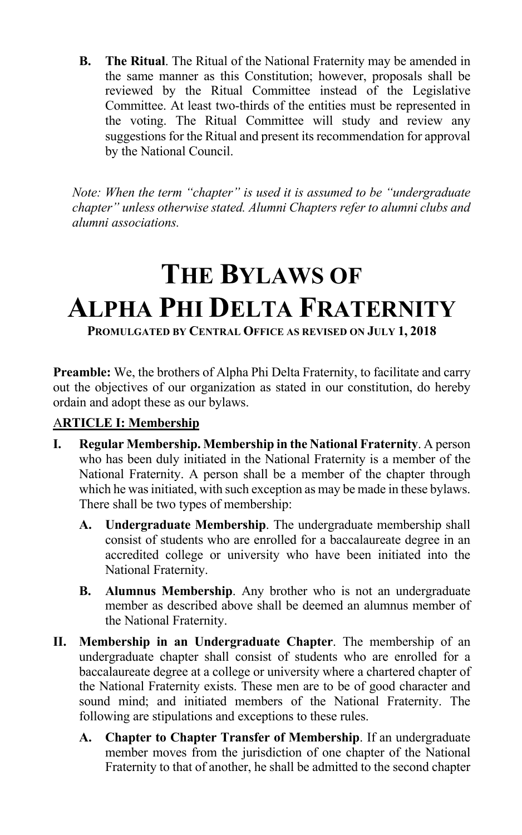**B. The Ritual**. The Ritual of the National Fraternity may be amended in the same manner as this Constitution; however, proposals shall be reviewed by the Ritual Committee instead of the Legislative Committee. At least two-thirds of the entities must be represented in the voting. The Ritual Committee will study and review any suggestions for the Ritual and present its recommendation for approval by the National Council.

*Note: When the term "chapter" is used it is assumed to be "undergraduate chapter" unless otherwise stated. Alumni Chapters refer to alumni clubs and alumni associations.*

# **THE BYLAWS OF ALPHA PHI DELTA FRATERNITY**

**PROMULGATED BY CENTRAL OFFICE AS REVISED ON JULY 1, 2018**

**Preamble:** We, the brothers of Alpha Phi Delta Fraternity, to facilitate and carry out the objectives of our organization as stated in our constitution, do hereby ordain and adopt these as our bylaws.

## A**RTICLE I: Membership**

- **I. Regular Membership. Membership in the National Fraternity**. A person who has been duly initiated in the National Fraternity is a member of the National Fraternity. A person shall be a member of the chapter through which he was initiated, with such exception as may be made in these bylaws. There shall be two types of membership:
	- **A. Undergraduate Membership**. The undergraduate membership shall consist of students who are enrolled for a baccalaureate degree in an accredited college or university who have been initiated into the National Fraternity.
	- **B. Alumnus Membership**. Any brother who is not an undergraduate member as described above shall be deemed an alumnus member of the National Fraternity.
- **II. Membership in an Undergraduate Chapter**. The membership of an undergraduate chapter shall consist of students who are enrolled for a baccalaureate degree at a college or university where a chartered chapter of the National Fraternity exists. These men are to be of good character and sound mind; and initiated members of the National Fraternity. The following are stipulations and exceptions to these rules.
	- **A. Chapter to Chapter Transfer of Membership**. If an undergraduate member moves from the jurisdiction of one chapter of the National Fraternity to that of another, he shall be admitted to the second chapter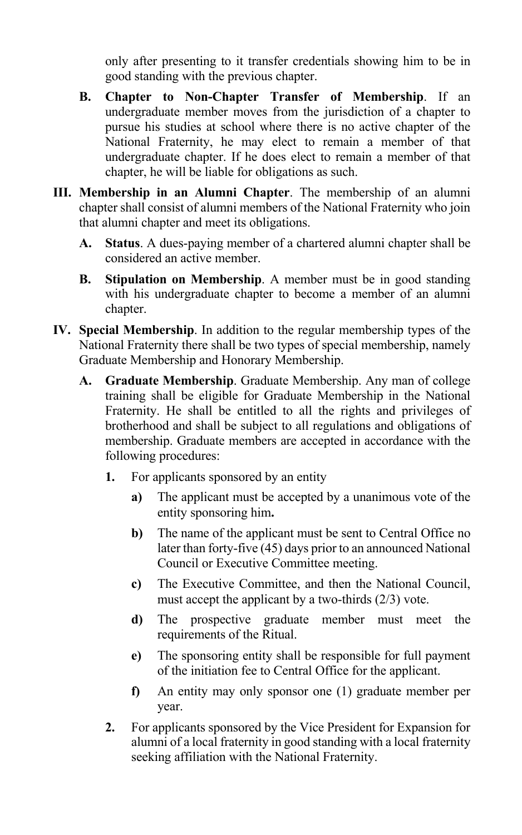only after presenting to it transfer credentials showing him to be in good standing with the previous chapter.

- **B. Chapter to Non-Chapter Transfer of Membership**. If an undergraduate member moves from the jurisdiction of a chapter to pursue his studies at school where there is no active chapter of the National Fraternity, he may elect to remain a member of that undergraduate chapter. If he does elect to remain a member of that chapter, he will be liable for obligations as such.
- **III. Membership in an Alumni Chapter**. The membership of an alumni chapter shall consist of alumni members of the National Fraternity who join that alumni chapter and meet its obligations.
	- **A. Status**. A dues-paying member of a chartered alumni chapter shall be considered an active member.
	- **B. Stipulation on Membership**. A member must be in good standing with his undergraduate chapter to become a member of an alumni chapter.
- **IV. Special Membership**. In addition to the regular membership types of the National Fraternity there shall be two types of special membership, namely Graduate Membership and Honorary Membership.
	- **A. Graduate Membership**. Graduate Membership. Any man of college training shall be eligible for Graduate Membership in the National Fraternity. He shall be entitled to all the rights and privileges of brotherhood and shall be subject to all regulations and obligations of membership. Graduate members are accepted in accordance with the following procedures:
		- **1.** For applicants sponsored by an entity
			- **a)** The applicant must be accepted by a unanimous vote of the entity sponsoring him**.**
			- **b)** The name of the applicant must be sent to Central Office no later than forty-five (45) days prior to an announced National Council or Executive Committee meeting.
			- **c)** The Executive Committee, and then the National Council, must accept the applicant by a two-thirds (2/3) vote.
			- **d)** The prospective graduate member must meet the requirements of the Ritual.
			- **e)** The sponsoring entity shall be responsible for full payment of the initiation fee to Central Office for the applicant.
			- **f)** An entity may only sponsor one (1) graduate member per year.
		- **2.** For applicants sponsored by the Vice President for Expansion for alumni of a local fraternity in good standing with a local fraternity seeking affiliation with the National Fraternity.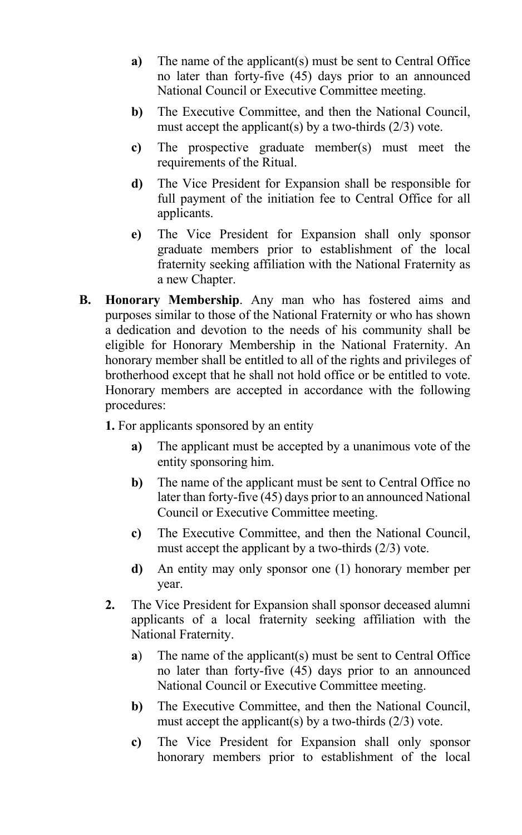- **a)** The name of the applicant(s) must be sent to Central Office no later than forty-five (45) days prior to an announced National Council or Executive Committee meeting.
- **b)** The Executive Committee, and then the National Council, must accept the applicant(s) by a two-thirds  $(2/3)$  vote.
- **c)** The prospective graduate member(s) must meet the requirements of the Ritual.
- **d)** The Vice President for Expansion shall be responsible for full payment of the initiation fee to Central Office for all applicants.
- **e)** The Vice President for Expansion shall only sponsor graduate members prior to establishment of the local fraternity seeking affiliation with the National Fraternity as a new Chapter.
- **B. Honorary Membership**. Any man who has fostered aims and purposes similar to those of the National Fraternity or who has shown a dedication and devotion to the needs of his community shall be eligible for Honorary Membership in the National Fraternity. An honorary member shall be entitled to all of the rights and privileges of brotherhood except that he shall not hold office or be entitled to vote. Honorary members are accepted in accordance with the following procedures:

**1.** For applicants sponsored by an entity

- **a)** The applicant must be accepted by a unanimous vote of the entity sponsoring him.
- **b)** The name of the applicant must be sent to Central Office no later than forty-five (45) days prior to an announced National Council or Executive Committee meeting.
- **c)** The Executive Committee, and then the National Council, must accept the applicant by a two-thirds (2/3) vote.
- **d)** An entity may only sponsor one (1) honorary member per year.
- **2.** The Vice President for Expansion shall sponsor deceased alumni applicants of a local fraternity seeking affiliation with the National Fraternity.
	- **a**) The name of the applicant(s) must be sent to Central Office no later than forty-five (45) days prior to an announced National Council or Executive Committee meeting.
	- **b)** The Executive Committee, and then the National Council, must accept the applicant(s) by a two-thirds  $(2/3)$  vote.
	- **c)** The Vice President for Expansion shall only sponsor honorary members prior to establishment of the local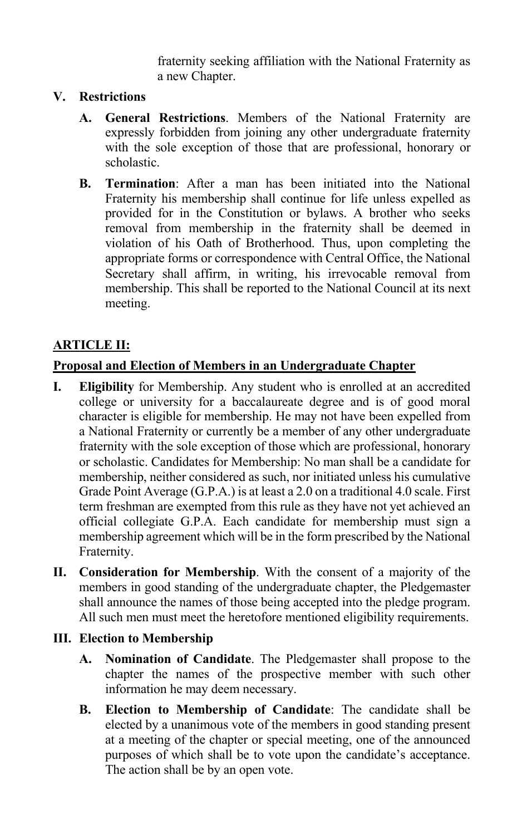fraternity seeking affiliation with the National Fraternity as a new Chapter.

## **V. Restrictions**

- **A. General Restrictions**. Members of the National Fraternity are expressly forbidden from joining any other undergraduate fraternity with the sole exception of those that are professional, honorary or scholastic.
- **B. Termination**: After a man has been initiated into the National Fraternity his membership shall continue for life unless expelled as provided for in the Constitution or bylaws. A brother who seeks removal from membership in the fraternity shall be deemed in violation of his Oath of Brotherhood. Thus, upon completing the appropriate forms or correspondence with Central Office, the National Secretary shall affirm, in writing, his irrevocable removal from membership. This shall be reported to the National Council at its next meeting.

## **ARTICLE II:**

## **Proposal and Election of Members in an Undergraduate Chapter**

- **I. Eligibility** for Membership. Any student who is enrolled at an accredited college or university for a baccalaureate degree and is of good moral character is eligible for membership. He may not have been expelled from a National Fraternity or currently be a member of any other undergraduate fraternity with the sole exception of those which are professional, honorary or scholastic. Candidates for Membership: No man shall be a candidate for membership, neither considered as such, nor initiated unless his cumulative Grade Point Average (G.P.A.) is at least a 2.0 on a traditional 4.0 scale. First term freshman are exempted from this rule as they have not yet achieved an official collegiate G.P.A. Each candidate for membership must sign a membership agreement which will be in the form prescribed by the National Fraternity.
- **II. Consideration for Membership**. With the consent of a majority of the members in good standing of the undergraduate chapter, the Pledgemaster shall announce the names of those being accepted into the pledge program. All such men must meet the heretofore mentioned eligibility requirements.

#### **III. Election to Membership**

- **A. Nomination of Candidate**. The Pledgemaster shall propose to the chapter the names of the prospective member with such other information he may deem necessary.
- **B. Election to Membership of Candidate**: The candidate shall be elected by a unanimous vote of the members in good standing present at a meeting of the chapter or special meeting, one of the announced purposes of which shall be to vote upon the candidate's acceptance. The action shall be by an open vote.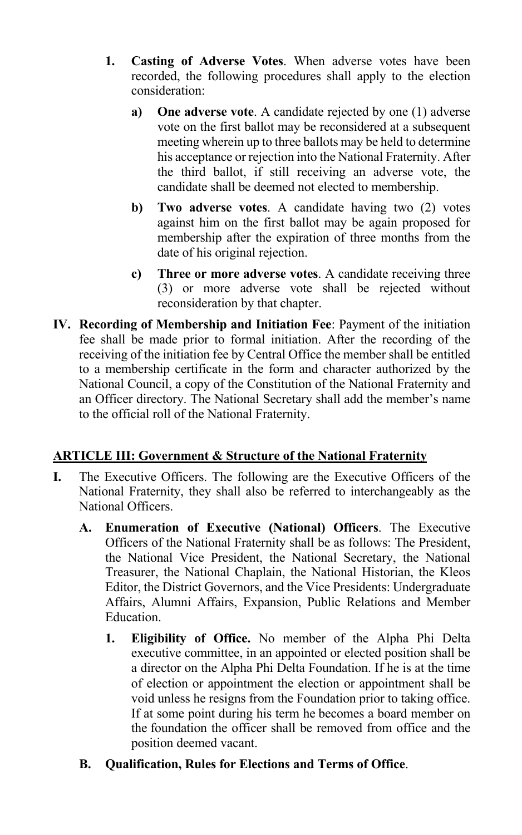- **1. Casting of Adverse Votes**. When adverse votes have been recorded, the following procedures shall apply to the election consideration:
	- **a) One adverse vote**. A candidate rejected by one (1) adverse vote on the first ballot may be reconsidered at a subsequent meeting wherein up to three ballots may be held to determine his acceptance or rejection into the National Fraternity. After the third ballot, if still receiving an adverse vote, the candidate shall be deemed not elected to membership.
	- **b) Two adverse votes**. A candidate having two (2) votes against him on the first ballot may be again proposed for membership after the expiration of three months from the date of his original rejection.
	- **c) Three or more adverse votes**. A candidate receiving three (3) or more adverse vote shall be rejected without reconsideration by that chapter.
- **IV. Recording of Membership and Initiation Fee**: Payment of the initiation fee shall be made prior to formal initiation. After the recording of the receiving of the initiation fee by Central Office the member shall be entitled to a membership certificate in the form and character authorized by the National Council, a copy of the Constitution of the National Fraternity and an Officer directory. The National Secretary shall add the member's name to the official roll of the National Fraternity.

## **ARTICLE III: Government & Structure of the National Fraternity**

- **I.** The Executive Officers. The following are the Executive Officers of the National Fraternity, they shall also be referred to interchangeably as the National Officers.
	- **A. Enumeration of Executive (National) Officers**. The Executive Officers of the National Fraternity shall be as follows: The President, the National Vice President, the National Secretary, the National Treasurer, the National Chaplain, the National Historian, the Kleos Editor, the District Governors, and the Vice Presidents: Undergraduate Affairs, Alumni Affairs, Expansion, Public Relations and Member Education.
		- **1. Eligibility of Office.** No member of the Alpha Phi Delta executive committee, in an appointed or elected position shall be a director on the Alpha Phi Delta Foundation. If he is at the time of election or appointment the election or appointment shall be void unless he resigns from the Foundation prior to taking office. If at some point during his term he becomes a board member on the foundation the officer shall be removed from office and the position deemed vacant.
	- **B. Qualification, Rules for Elections and Terms of Office**.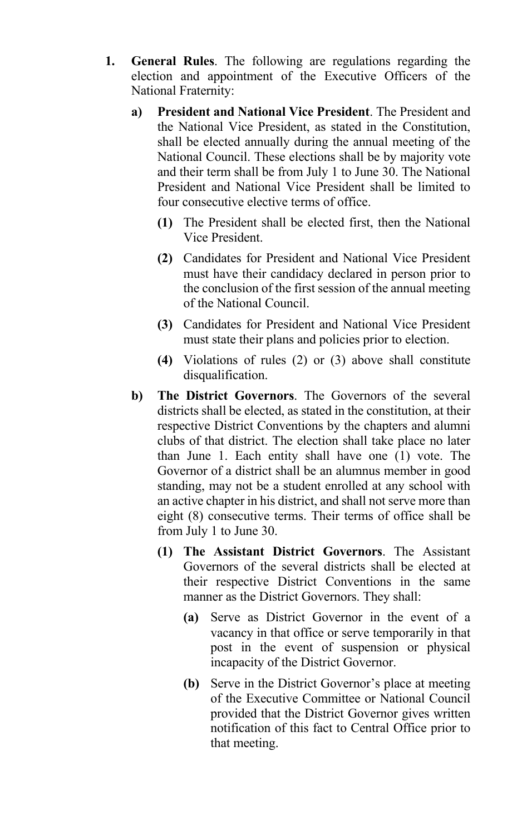- **1. General Rules**. The following are regulations regarding the election and appointment of the Executive Officers of the National Fraternity:
	- **a) President and National Vice President**. The President and the National Vice President, as stated in the Constitution, shall be elected annually during the annual meeting of the National Council. These elections shall be by majority vote and their term shall be from July 1 to June 30. The National President and National Vice President shall be limited to four consecutive elective terms of office.
		- **(1)** The President shall be elected first, then the National Vice President.
		- **(2)** Candidates for President and National Vice President must have their candidacy declared in person prior to the conclusion of the first session of the annual meeting of the National Council.
		- **(3)** Candidates for President and National Vice President must state their plans and policies prior to election.
		- **(4)** Violations of rules (2) or (3) above shall constitute disqualification.
	- **b) The District Governors**. The Governors of the several districts shall be elected, as stated in the constitution, at their respective District Conventions by the chapters and alumni clubs of that district. The election shall take place no later than June 1. Each entity shall have one (1) vote. The Governor of a district shall be an alumnus member in good standing, may not be a student enrolled at any school with an active chapter in his district, and shall not serve more than eight (8) consecutive terms. Their terms of office shall be from July 1 to June 30.
		- **(1) The Assistant District Governors**. The Assistant Governors of the several districts shall be elected at their respective District Conventions in the same manner as the District Governors. They shall:
			- **(a)** Serve as District Governor in the event of a vacancy in that office or serve temporarily in that post in the event of suspension or physical incapacity of the District Governor.
			- **(b)** Serve in the District Governor's place at meeting of the Executive Committee or National Council provided that the District Governor gives written notification of this fact to Central Office prior to that meeting.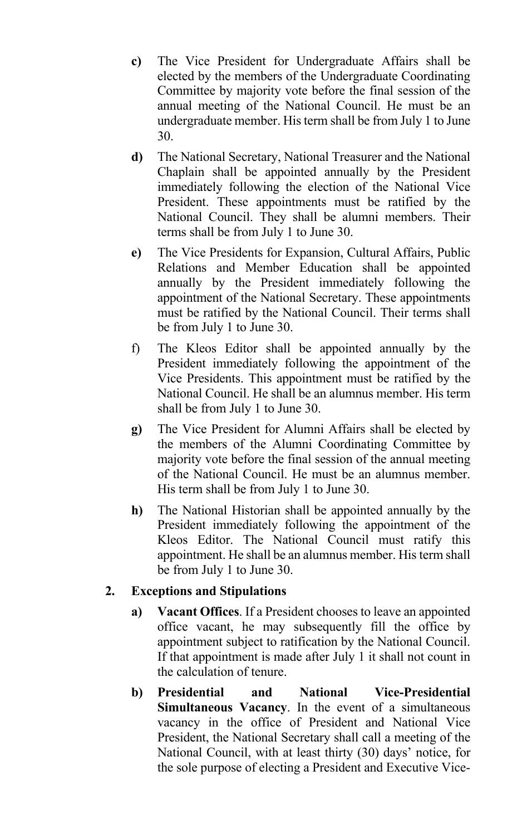- **c)** The Vice President for Undergraduate Affairs shall be elected by the members of the Undergraduate Coordinating Committee by majority vote before the final session of the annual meeting of the National Council. He must be an undergraduate member. His term shall be from July 1 to June 30.
- **d)** The National Secretary, National Treasurer and the National Chaplain shall be appointed annually by the President immediately following the election of the National Vice President. These appointments must be ratified by the National Council. They shall be alumni members. Their terms shall be from July 1 to June 30.
- **e)** The Vice Presidents for Expansion, Cultural Affairs, Public Relations and Member Education shall be appointed annually by the President immediately following the appointment of the National Secretary. These appointments must be ratified by the National Council. Their terms shall be from July 1 to June 30.
- f) The Kleos Editor shall be appointed annually by the President immediately following the appointment of the Vice Presidents. This appointment must be ratified by the National Council. He shall be an alumnus member. His term shall be from July 1 to June 30.
- **g)** The Vice President for Alumni Affairs shall be elected by the members of the Alumni Coordinating Committee by majority vote before the final session of the annual meeting of the National Council. He must be an alumnus member. His term shall be from July 1 to June 30.
- **h)** The National Historian shall be appointed annually by the President immediately following the appointment of the Kleos Editor. The National Council must ratify this appointment. He shall be an alumnus member. His term shall be from July 1 to June 30.

#### **2. Exceptions and Stipulations**

- **a) Vacant Offices**. If a President chooses to leave an appointed office vacant, he may subsequently fill the office by appointment subject to ratification by the National Council. If that appointment is made after July 1 it shall not count in the calculation of tenure.
- **b) Presidential and National Vice-Presidential Simultaneous Vacancy**. In the event of a simultaneous vacancy in the office of President and National Vice President, the National Secretary shall call a meeting of the National Council, with at least thirty (30) days' notice, for the sole purpose of electing a President and Executive Vice-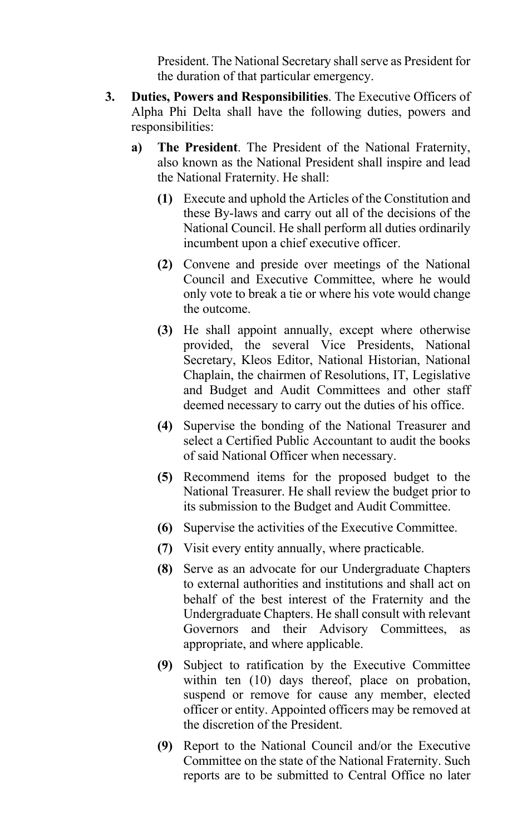President. The National Secretary shall serve as President for the duration of that particular emergency.

- **3. Duties, Powers and Responsibilities**. The Executive Officers of Alpha Phi Delta shall have the following duties, powers and responsibilities:
	- **a) The President**. The President of the National Fraternity, also known as the National President shall inspire and lead the National Fraternity. He shall:
		- **(1)** Execute and uphold the Articles of the Constitution and these By-laws and carry out all of the decisions of the National Council. He shall perform all duties ordinarily incumbent upon a chief executive officer.
		- **(2)** Convene and preside over meetings of the National Council and Executive Committee, where he would only vote to break a tie or where his vote would change the outcome.
		- **(3)** He shall appoint annually, except where otherwise provided, the several Vice Presidents, National Secretary, Kleos Editor, National Historian, National Chaplain, the chairmen of Resolutions, IT, Legislative and Budget and Audit Committees and other staff deemed necessary to carry out the duties of his office.
		- **(4)** Supervise the bonding of the National Treasurer and select a Certified Public Accountant to audit the books of said National Officer when necessary.
		- **(5)** Recommend items for the proposed budget to the National Treasurer. He shall review the budget prior to its submission to the Budget and Audit Committee.
		- **(6)** Supervise the activities of the Executive Committee.
		- **(7)** Visit every entity annually, where practicable.
		- **(8)** Serve as an advocate for our Undergraduate Chapters to external authorities and institutions and shall act on behalf of the best interest of the Fraternity and the Undergraduate Chapters. He shall consult with relevant Governors and their Advisory Committees, as appropriate, and where applicable.
		- **(9)** Subject to ratification by the Executive Committee within ten (10) days thereof, place on probation, suspend or remove for cause any member, elected officer or entity. Appointed officers may be removed at the discretion of the President.
		- **(9)** Report to the National Council and/or the Executive Committee on the state of the National Fraternity. Such reports are to be submitted to Central Office no later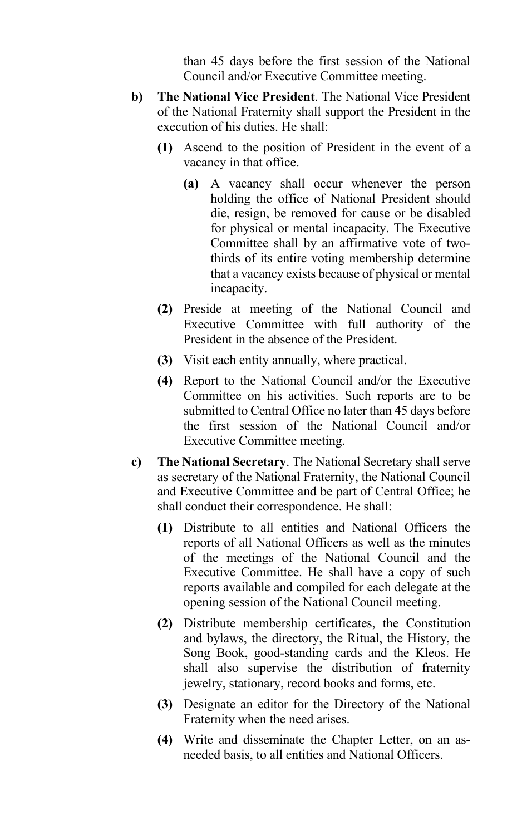than 45 days before the first session of the National Council and/or Executive Committee meeting.

- **b) The National Vice President**. The National Vice President of the National Fraternity shall support the President in the execution of his duties. He shall:
	- **(1)** Ascend to the position of President in the event of a vacancy in that office.
		- **(a)** A vacancy shall occur whenever the person holding the office of National President should die, resign, be removed for cause or be disabled for physical or mental incapacity. The Executive Committee shall by an affirmative vote of twothirds of its entire voting membership determine that a vacancy exists because of physical or mental incapacity.
	- **(2)** Preside at meeting of the National Council and Executive Committee with full authority of the President in the absence of the President.
	- **(3)** Visit each entity annually, where practical.
	- **(4)** Report to the National Council and/or the Executive Committee on his activities. Such reports are to be submitted to Central Office no later than 45 days before the first session of the National Council and/or Executive Committee meeting.
- **c) The National Secretary**. The National Secretary shall serve as secretary of the National Fraternity, the National Council and Executive Committee and be part of Central Office; he shall conduct their correspondence. He shall:
	- **(1)** Distribute to all entities and National Officers the reports of all National Officers as well as the minutes of the meetings of the National Council and the Executive Committee. He shall have a copy of such reports available and compiled for each delegate at the opening session of the National Council meeting.
	- **(2)** Distribute membership certificates, the Constitution and bylaws, the directory, the Ritual, the History, the Song Book, good-standing cards and the Kleos. He shall also supervise the distribution of fraternity jewelry, stationary, record books and forms, etc.
	- **(3)** Designate an editor for the Directory of the National Fraternity when the need arises.
	- **(4)** Write and disseminate the Chapter Letter, on an asneeded basis, to all entities and National Officers.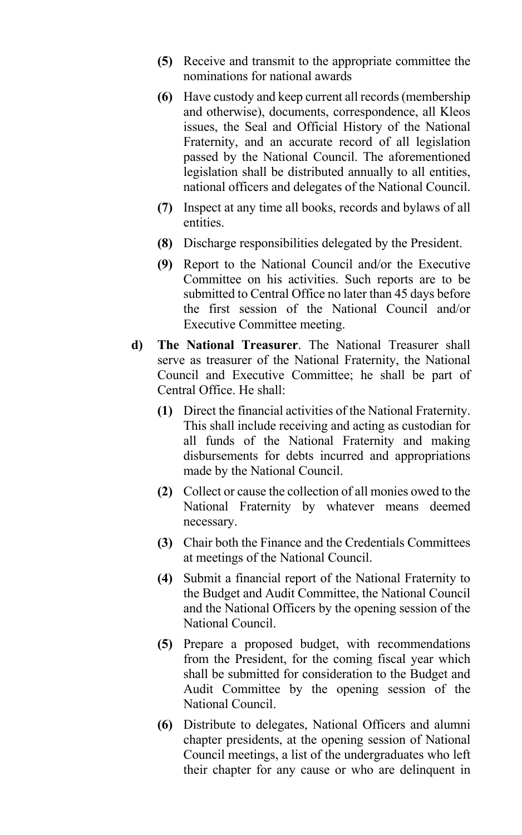- **(5)** Receive and transmit to the appropriate committee the nominations for national awards
- **(6)** Have custody and keep current all records (membership and otherwise), documents, correspondence, all Kleos issues, the Seal and Official History of the National Fraternity, and an accurate record of all legislation passed by the National Council. The aforementioned legislation shall be distributed annually to all entities, national officers and delegates of the National Council.
- **(7)** Inspect at any time all books, records and bylaws of all entities.
- **(8)** Discharge responsibilities delegated by the President.
- **(9)** Report to the National Council and/or the Executive Committee on his activities. Such reports are to be submitted to Central Office no later than 45 days before the first session of the National Council and/or Executive Committee meeting.
- **d) The National Treasurer**. The National Treasurer shall serve as treasurer of the National Fraternity, the National Council and Executive Committee; he shall be part of Central Office. He shall:
	- **(1)** Direct the financial activities of the National Fraternity. This shall include receiving and acting as custodian for all funds of the National Fraternity and making disbursements for debts incurred and appropriations made by the National Council.
	- **(2)** Collect or cause the collection of all monies owed to the National Fraternity by whatever means deemed necessary.
	- **(3)** Chair both the Finance and the Credentials Committees at meetings of the National Council.
	- **(4)** Submit a financial report of the National Fraternity to the Budget and Audit Committee, the National Council and the National Officers by the opening session of the National Council.
	- **(5)** Prepare a proposed budget, with recommendations from the President, for the coming fiscal year which shall be submitted for consideration to the Budget and Audit Committee by the opening session of the National Council.
	- **(6)** Distribute to delegates, National Officers and alumni chapter presidents, at the opening session of National Council meetings, a list of the undergraduates who left their chapter for any cause or who are delinquent in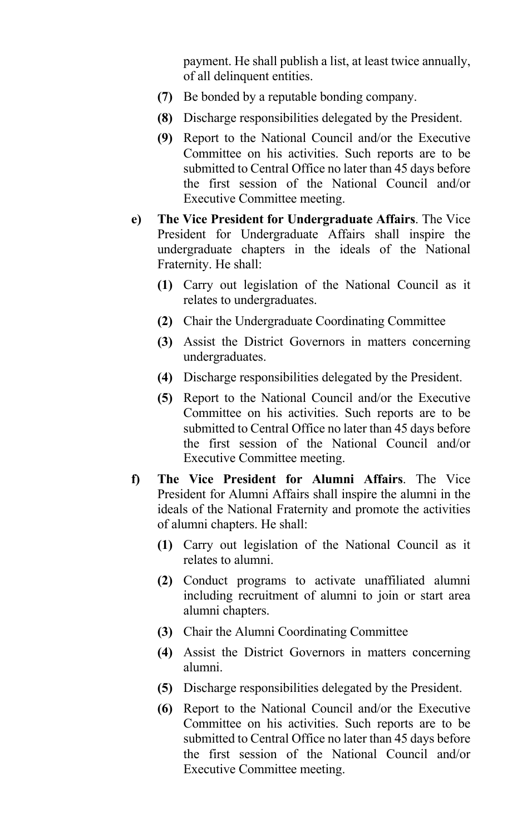payment. He shall publish a list, at least twice annually, of all delinquent entities.

- **(7)** Be bonded by a reputable bonding company.
- **(8)** Discharge responsibilities delegated by the President.
- **(9)** Report to the National Council and/or the Executive Committee on his activities. Such reports are to be submitted to Central Office no later than 45 days before the first session of the National Council and/or Executive Committee meeting.
- **e) The Vice President for Undergraduate Affairs**. The Vice President for Undergraduate Affairs shall inspire the undergraduate chapters in the ideals of the National Fraternity. He shall:
	- **(1)** Carry out legislation of the National Council as it relates to undergraduates.
	- **(2)** Chair the Undergraduate Coordinating Committee
	- **(3)** Assist the District Governors in matters concerning undergraduates.
	- **(4)** Discharge responsibilities delegated by the President.
	- **(5)** Report to the National Council and/or the Executive Committee on his activities. Such reports are to be submitted to Central Office no later than 45 days before the first session of the National Council and/or Executive Committee meeting.
- **f) The Vice President for Alumni Affairs**. The Vice President for Alumni Affairs shall inspire the alumni in the ideals of the National Fraternity and promote the activities of alumni chapters. He shall:
	- **(1)** Carry out legislation of the National Council as it relates to alumni.
	- **(2)** Conduct programs to activate unaffiliated alumni including recruitment of alumni to join or start area alumni chapters.
	- **(3)** Chair the Alumni Coordinating Committee
	- **(4)** Assist the District Governors in matters concerning alumni.
	- **(5)** Discharge responsibilities delegated by the President.
	- **(6)** Report to the National Council and/or the Executive Committee on his activities. Such reports are to be submitted to Central Office no later than 45 days before the first session of the National Council and/or Executive Committee meeting.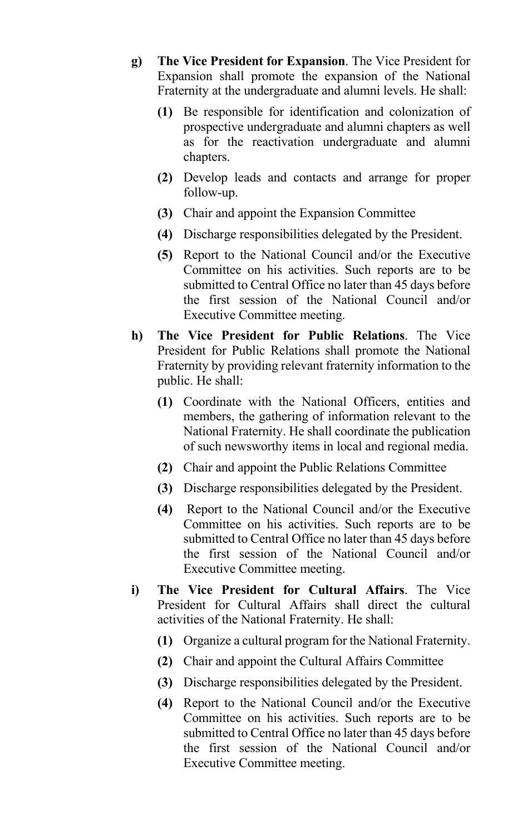- **g) The Vice President for Expansion**. The Vice President for Expansion shall promote the expansion of the National Fraternity at the undergraduate and alumni levels. He shall:
	- **(1)** Be responsible for identification and colonization of prospective undergraduate and alumni chapters as well as for the reactivation undergraduate and alumni chapters.
	- **(2)** Develop leads and contacts and arrange for proper follow-up.
	- **(3)** Chair and appoint the Expansion Committee
	- **(4)** Discharge responsibilities delegated by the President.
	- **(5)** Report to the National Council and/or the Executive Committee on his activities. Such reports are to be submitted to Central Office no later than 45 days before the first session of the National Council and/or Executive Committee meeting.
- **h) The Vice President for Public Relations**. The Vice President for Public Relations shall promote the National Fraternity by providing relevant fraternity information to the public. He shall:
	- **(1)** Coordinate with the National Officers, entities and members, the gathering of information relevant to the National Fraternity. He shall coordinate the publication of such newsworthy items in local and regional media.
	- **(2)** Chair and appoint the Public Relations Committee
	- **(3)** Discharge responsibilities delegated by the President.
	- **(4)** Report to the National Council and/or the Executive Committee on his activities. Such reports are to be submitted to Central Office no later than 45 days before the first session of the National Council and/or Executive Committee meeting.
- **i) The Vice President for Cultural Affairs**. The Vice President for Cultural Affairs shall direct the cultural activities of the National Fraternity. He shall:
	- **(1)** Organize a cultural program for the National Fraternity.
	- **(2)** Chair and appoint the Cultural Affairs Committee
	- **(3)** Discharge responsibilities delegated by the President.
	- **(4)** Report to the National Council and/or the Executive Committee on his activities. Such reports are to be submitted to Central Office no later than 45 days before the first session of the National Council and/or Executive Committee meeting.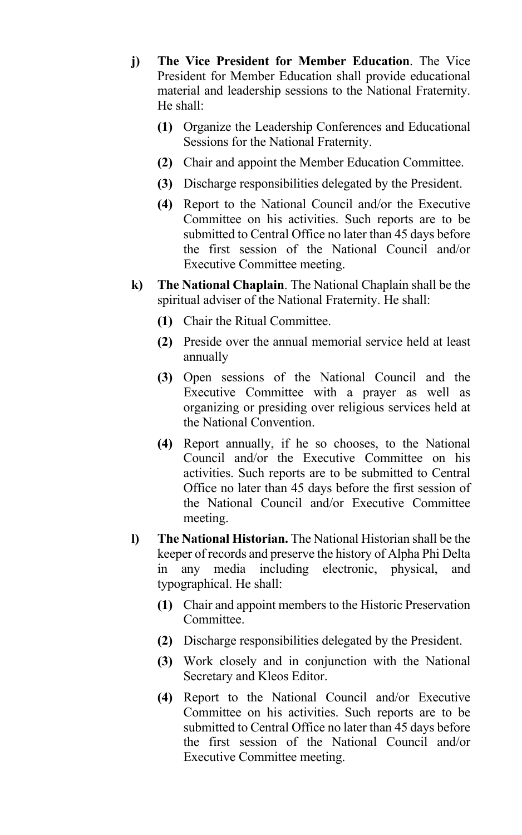- **j) The Vice President for Member Education**. The Vice President for Member Education shall provide educational material and leadership sessions to the National Fraternity. He shall:
	- **(1)** Organize the Leadership Conferences and Educational Sessions for the National Fraternity.
	- **(2)** Chair and appoint the Member Education Committee.
	- **(3)** Discharge responsibilities delegated by the President.
	- **(4)** Report to the National Council and/or the Executive Committee on his activities. Such reports are to be submitted to Central Office no later than 45 days before the first session of the National Council and/or Executive Committee meeting.
- **k) The National Chaplain**. The National Chaplain shall be the spiritual adviser of the National Fraternity. He shall:
	- **(1)** Chair the Ritual Committee.
	- **(2)** Preside over the annual memorial service held at least annually
	- **(3)** Open sessions of the National Council and the Executive Committee with a prayer as well as organizing or presiding over religious services held at the National Convention.
	- **(4)** Report annually, if he so chooses, to the National Council and/or the Executive Committee on his activities. Such reports are to be submitted to Central Office no later than 45 days before the first session of the National Council and/or Executive Committee meeting.
- **l) The National Historian.** The National Historian shall be the keeper of records and preserve the history of Alpha Phi Delta in any media including electronic, physical, and typographical. He shall:
	- **(1)** Chair and appoint members to the Historic Preservation Committee.
	- **(2)** Discharge responsibilities delegated by the President.
	- **(3)** Work closely and in conjunction with the National Secretary and Kleos Editor.
	- **(4)** Report to the National Council and/or Executive Committee on his activities. Such reports are to be submitted to Central Office no later than 45 days before the first session of the National Council and/or Executive Committee meeting.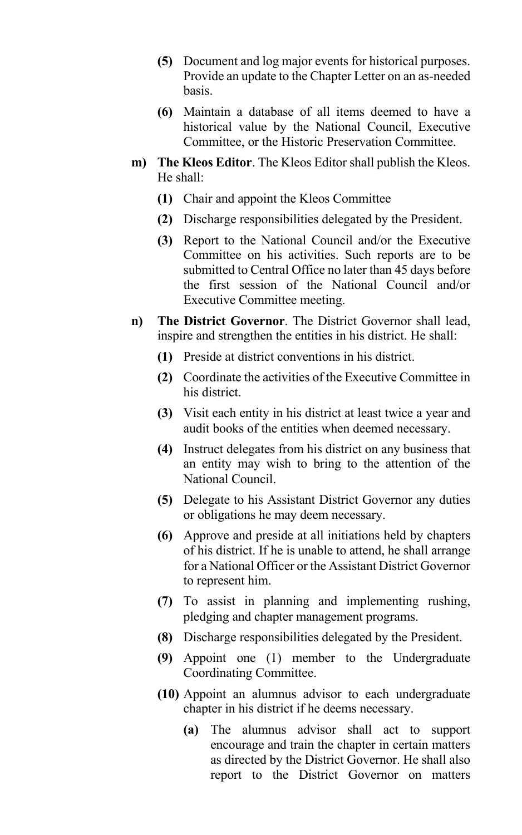- **(5)** Document and log major events for historical purposes. Provide an update to the Chapter Letter on an as-needed basis.
- **(6)** Maintain a database of all items deemed to have a historical value by the National Council, Executive Committee, or the Historic Preservation Committee.
- **m) The Kleos Editor**. The Kleos Editor shall publish the Kleos. He shall:
	- **(1)** Chair and appoint the Kleos Committee
	- **(2)** Discharge responsibilities delegated by the President.
	- **(3)** Report to the National Council and/or the Executive Committee on his activities. Such reports are to be submitted to Central Office no later than 45 days before the first session of the National Council and/or Executive Committee meeting.
- **n) The District Governor**. The District Governor shall lead, inspire and strengthen the entities in his district. He shall:
	- **(1)** Preside at district conventions in his district.
	- **(2)** Coordinate the activities of the Executive Committee in his district.
	- **(3)** Visit each entity in his district at least twice a year and audit books of the entities when deemed necessary.
	- **(4)** Instruct delegates from his district on any business that an entity may wish to bring to the attention of the National Council.
	- **(5)** Delegate to his Assistant District Governor any duties or obligations he may deem necessary.
	- **(6)** Approve and preside at all initiations held by chapters of his district. If he is unable to attend, he shall arrange for a National Officer or the Assistant District Governor to represent him.
	- **(7)** To assist in planning and implementing rushing, pledging and chapter management programs.
	- **(8)** Discharge responsibilities delegated by the President.
	- **(9)** Appoint one (1) member to the Undergraduate Coordinating Committee.
	- **(10)** Appoint an alumnus advisor to each undergraduate chapter in his district if he deems necessary.
		- **(a)** The alumnus advisor shall act to support encourage and train the chapter in certain matters as directed by the District Governor. He shall also report to the District Governor on matters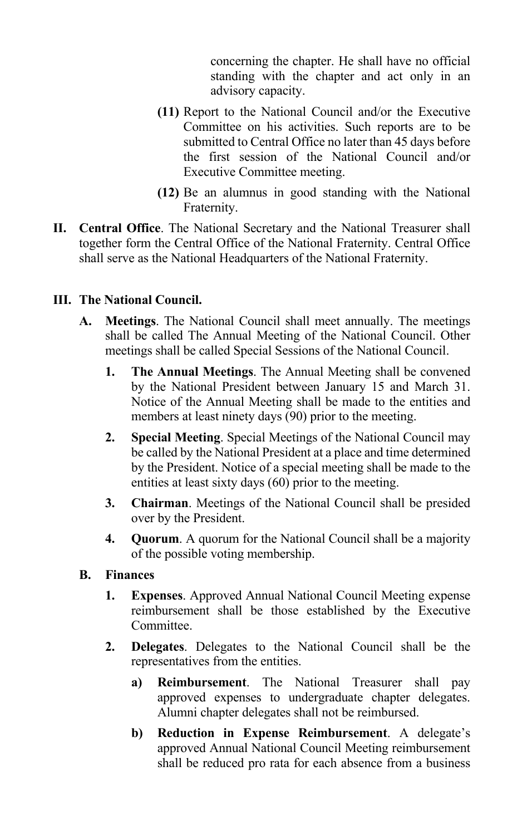concerning the chapter. He shall have no official standing with the chapter and act only in an advisory capacity.

- **(11)** Report to the National Council and/or the Executive Committee on his activities. Such reports are to be submitted to Central Office no later than 45 days before the first session of the National Council and/or Executive Committee meeting.
- **(12)** Be an alumnus in good standing with the National Fraternity.
- **II. Central Office**. The National Secretary and the National Treasurer shall together form the Central Office of the National Fraternity. Central Office shall serve as the National Headquarters of the National Fraternity.

#### **III. The National Council.**

- **A. Meetings**. The National Council shall meet annually. The meetings shall be called The Annual Meeting of the National Council. Other meetings shall be called Special Sessions of the National Council.
	- **1. The Annual Meetings**. The Annual Meeting shall be convened by the National President between January 15 and March 31. Notice of the Annual Meeting shall be made to the entities and members at least ninety days (90) prior to the meeting.
	- **2. Special Meeting**. Special Meetings of the National Council may be called by the National President at a place and time determined by the President. Notice of a special meeting shall be made to the entities at least sixty days (60) prior to the meeting.
	- **3. Chairman**. Meetings of the National Council shall be presided over by the President.
	- **4. Quorum**. A quorum for the National Council shall be a majority of the possible voting membership.

#### **B. Finances**

- **1. Expenses**. Approved Annual National Council Meeting expense reimbursement shall be those established by the Executive Committee.
- **2. Delegates**. Delegates to the National Council shall be the representatives from the entities.
	- **a) Reimbursement**. The National Treasurer shall pay approved expenses to undergraduate chapter delegates. Alumni chapter delegates shall not be reimbursed.
	- **b) Reduction in Expense Reimbursement**. A delegate's approved Annual National Council Meeting reimbursement shall be reduced pro rata for each absence from a business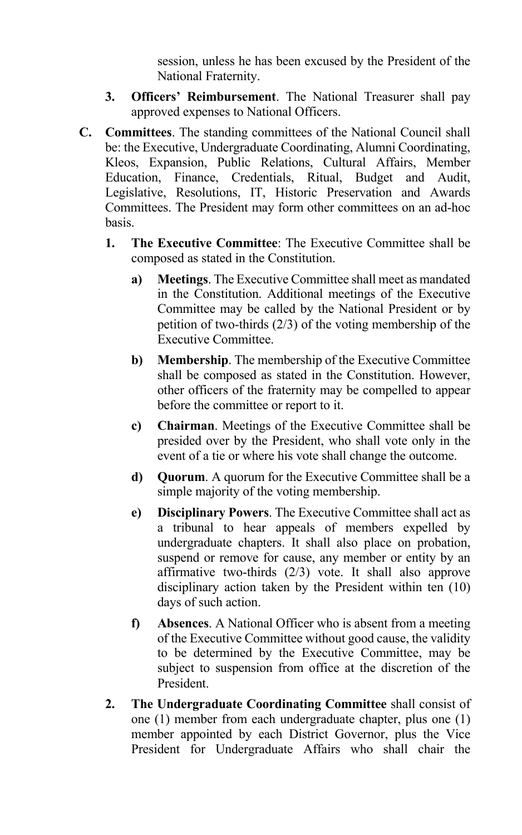session, unless he has been excused by the President of the National Fraternity.

- **3. Officers' Reimbursement**. The National Treasurer shall pay approved expenses to National Officers.
- **C. Committees**. The standing committees of the National Council shall be: the Executive, Undergraduate Coordinating, Alumni Coordinating, Kleos, Expansion, Public Relations, Cultural Affairs, Member Education, Finance, Credentials, Ritual, Budget and Audit, Legislative, Resolutions, IT, Historic Preservation and Awards Committees. The President may form other committees on an ad-hoc basis.
	- **1. The Executive Committee**: The Executive Committee shall be composed as stated in the Constitution.
		- **a) Meetings**. The Executive Committee shall meet as mandated in the Constitution. Additional meetings of the Executive Committee may be called by the National President or by petition of two-thirds (2/3) of the voting membership of the Executive Committee.
		- **b) Membership**. The membership of the Executive Committee shall be composed as stated in the Constitution. However, other officers of the fraternity may be compelled to appear before the committee or report to it.
		- **c) Chairman**. Meetings of the Executive Committee shall be presided over by the President, who shall vote only in the event of a tie or where his vote shall change the outcome.
		- **d) Quorum**. A quorum for the Executive Committee shall be a simple majority of the voting membership.
		- **e) Disciplinary Powers**. The Executive Committee shall act as a tribunal to hear appeals of members expelled by undergraduate chapters. It shall also place on probation, suspend or remove for cause, any member or entity by an affirmative two-thirds (2/3) vote. It shall also approve disciplinary action taken by the President within ten (10) days of such action.
		- **f) Absences**. A National Officer who is absent from a meeting of the Executive Committee without good cause, the validity to be determined by the Executive Committee, may be subject to suspension from office at the discretion of the President.
	- **2. The Undergraduate Coordinating Committee** shall consist of one (1) member from each undergraduate chapter, plus one (1) member appointed by each District Governor, plus the Vice President for Undergraduate Affairs who shall chair the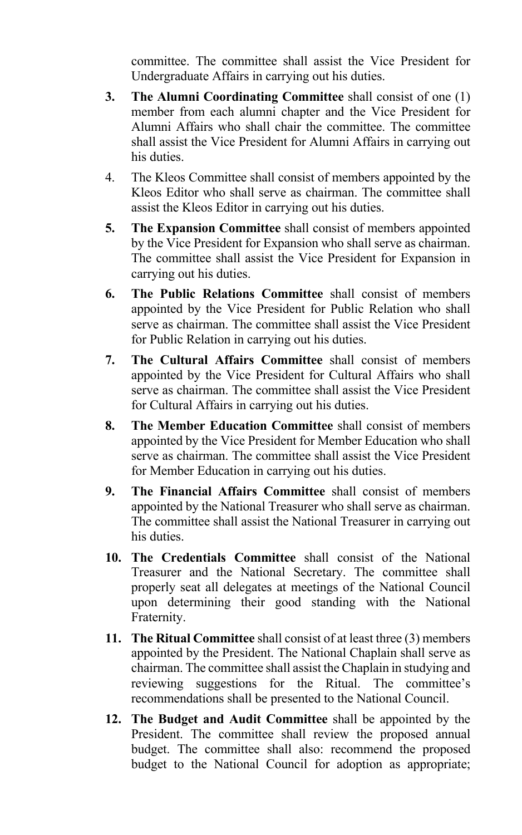committee. The committee shall assist the Vice President for Undergraduate Affairs in carrying out his duties.

- **3. The Alumni Coordinating Committee** shall consist of one (1) member from each alumni chapter and the Vice President for Alumni Affairs who shall chair the committee. The committee shall assist the Vice President for Alumni Affairs in carrying out his duties.
- 4. The Kleos Committee shall consist of members appointed by the Kleos Editor who shall serve as chairman. The committee shall assist the Kleos Editor in carrying out his duties.
- **5. The Expansion Committee** shall consist of members appointed by the Vice President for Expansion who shall serve as chairman. The committee shall assist the Vice President for Expansion in carrying out his duties.
- **6. The Public Relations Committee** shall consist of members appointed by the Vice President for Public Relation who shall serve as chairman. The committee shall assist the Vice President for Public Relation in carrying out his duties.
- **7. The Cultural Affairs Committee** shall consist of members appointed by the Vice President for Cultural Affairs who shall serve as chairman. The committee shall assist the Vice President for Cultural Affairs in carrying out his duties.
- **8. The Member Education Committee** shall consist of members appointed by the Vice President for Member Education who shall serve as chairman. The committee shall assist the Vice President for Member Education in carrying out his duties.
- **9. The Financial Affairs Committee** shall consist of members appointed by the National Treasurer who shall serve as chairman. The committee shall assist the National Treasurer in carrying out his duties.
- **10. The Credentials Committee** shall consist of the National Treasurer and the National Secretary. The committee shall properly seat all delegates at meetings of the National Council upon determining their good standing with the National Fraternity.
- **11. The Ritual Committee** shall consist of at least three (3) members appointed by the President. The National Chaplain shall serve as chairman. The committee shall assist the Chaplain in studying and reviewing suggestions for the Ritual. The committee's recommendations shall be presented to the National Council.
- **12. The Budget and Audit Committee** shall be appointed by the President. The committee shall review the proposed annual budget. The committee shall also: recommend the proposed budget to the National Council for adoption as appropriate;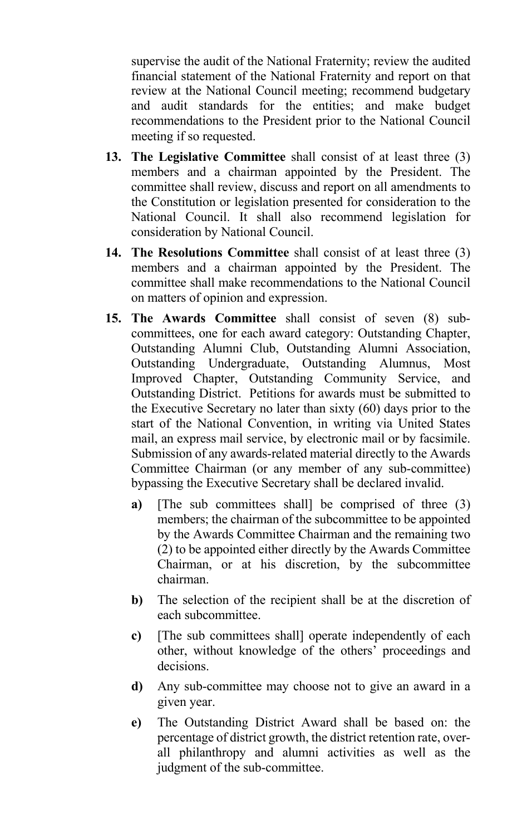supervise the audit of the National Fraternity; review the audited financial statement of the National Fraternity and report on that review at the National Council meeting; recommend budgetary and audit standards for the entities; and make budget recommendations to the President prior to the National Council meeting if so requested.

- **13. The Legislative Committee** shall consist of at least three (3) members and a chairman appointed by the President. The committee shall review, discuss and report on all amendments to the Constitution or legislation presented for consideration to the National Council. It shall also recommend legislation for consideration by National Council.
- **14. The Resolutions Committee** shall consist of at least three (3) members and a chairman appointed by the President. The committee shall make recommendations to the National Council on matters of opinion and expression.
- **15. The Awards Committee** shall consist of seven (8) subcommittees, one for each award category: Outstanding Chapter, Outstanding Alumni Club, Outstanding Alumni Association, Outstanding Undergraduate, Outstanding Alumnus, Most Improved Chapter, Outstanding Community Service, and Outstanding District. Petitions for awards must be submitted to the Executive Secretary no later than sixty (60) days prior to the start of the National Convention, in writing via United States mail, an express mail service, by electronic mail or by facsimile. Submission of any awards-related material directly to the Awards Committee Chairman (or any member of any sub-committee) bypassing the Executive Secretary shall be declared invalid.
	- **a)** [The sub committees shall] be comprised of three (3) members; the chairman of the subcommittee to be appointed by the Awards Committee Chairman and the remaining two (2) to be appointed either directly by the Awards Committee Chairman, or at his discretion, by the subcommittee chairman.
	- **b)** The selection of the recipient shall be at the discretion of each subcommittee.
	- **c)** [The sub committees shall] operate independently of each other, without knowledge of the others' proceedings and decisions.
	- **d)** Any sub-committee may choose not to give an award in a given year.
	- **e)** The Outstanding District Award shall be based on: the percentage of district growth, the district retention rate, overall philanthropy and alumni activities as well as the judgment of the sub-committee.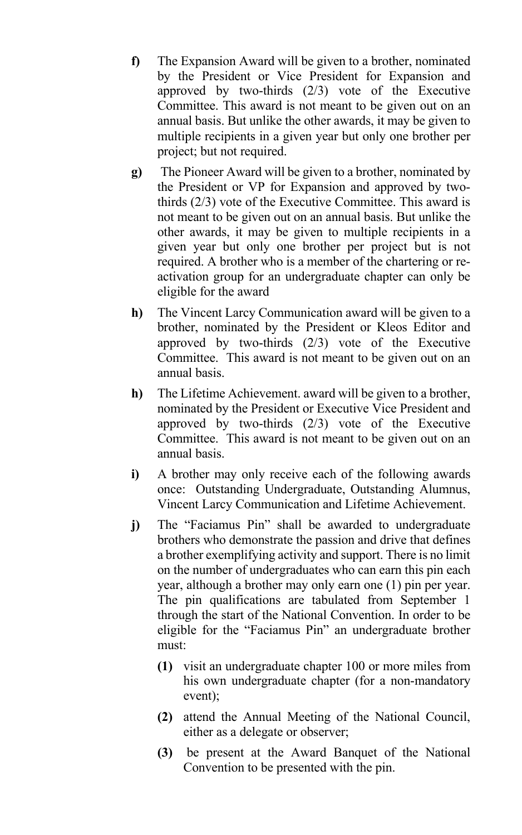- **f)** The Expansion Award will be given to a brother, nominated by the President or Vice President for Expansion and approved by two-thirds (2/3) vote of the Executive Committee. This award is not meant to be given out on an annual basis. But unlike the other awards, it may be given to multiple recipients in a given year but only one brother per project; but not required.
- **g)** The Pioneer Award will be given to a brother, nominated by the President or VP for Expansion and approved by twothirds (2/3) vote of the Executive Committee. This award is not meant to be given out on an annual basis. But unlike the other awards, it may be given to multiple recipients in a given year but only one brother per project but is not required. A brother who is a member of the chartering or reactivation group for an undergraduate chapter can only be eligible for the award
- **h)** The Vincent Larcy Communication award will be given to a brother, nominated by the President or Kleos Editor and approved by two-thirds (2/3) vote of the Executive Committee. This award is not meant to be given out on an annual basis.
- **h)** The Lifetime Achievement. award will be given to a brother, nominated by the President or Executive Vice President and approved by two-thirds (2/3) vote of the Executive Committee. This award is not meant to be given out on an annual basis.
- **i)** A brother may only receive each of the following awards once: Outstanding Undergraduate, Outstanding Alumnus, Vincent Larcy Communication and Lifetime Achievement.
- **j)** The "Faciamus Pin" shall be awarded to undergraduate brothers who demonstrate the passion and drive that defines a brother exemplifying activity and support. There is no limit on the number of undergraduates who can earn this pin each year, although a brother may only earn one (1) pin per year. The pin qualifications are tabulated from September 1 through the start of the National Convention. In order to be eligible for the "Faciamus Pin" an undergraduate brother must:
	- **(1)** visit an undergraduate chapter 100 or more miles from his own undergraduate chapter (for a non-mandatory event);
	- **(2)** attend the Annual Meeting of the National Council, either as a delegate or observer;
	- **(3)** be present at the Award Banquet of the National Convention to be presented with the pin.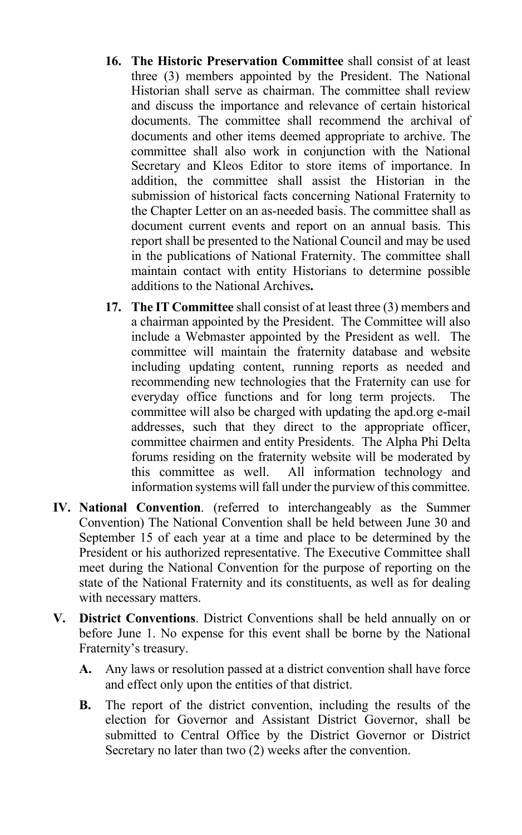- **16. The Historic Preservation Committee** shall consist of at least three (3) members appointed by the President. The National Historian shall serve as chairman. The committee shall review and discuss the importance and relevance of certain historical documents. The committee shall recommend the archival of documents and other items deemed appropriate to archive. The committee shall also work in conjunction with the National Secretary and Kleos Editor to store items of importance. In addition, the committee shall assist the Historian in the submission of historical facts concerning National Fraternity to the Chapter Letter on an as-needed basis. The committee shall as document current events and report on an annual basis. This report shall be presented to the National Council and may be used in the publications of National Fraternity. The committee shall maintain contact with entity Historians to determine possible additions to the National Archives**.**
- **17. The IT Committee** shall consist of at least three (3) members and a chairman appointed by the President. The Committee will also include a Webmaster appointed by the President as well. The committee will maintain the fraternity database and website including updating content, running reports as needed and recommending new technologies that the Fraternity can use for everyday office functions and for long term projects. The committee will also be charged with updating the apd.org e-mail addresses, such that they direct to the appropriate officer, committee chairmen and entity Presidents. The Alpha Phi Delta forums residing on the fraternity website will be moderated by this committee as well. All information technology and information systems will fall under the purview of this committee.
- **IV. National Convention**. (referred to interchangeably as the Summer Convention) The National Convention shall be held between June 30 and September 15 of each year at a time and place to be determined by the President or his authorized representative. The Executive Committee shall meet during the National Convention for the purpose of reporting on the state of the National Fraternity and its constituents, as well as for dealing with necessary matters.
- **V. District Conventions**. District Conventions shall be held annually on or before June 1. No expense for this event shall be borne by the National Fraternity's treasury.
	- **A.** Any laws or resolution passed at a district convention shall have force and effect only upon the entities of that district.
	- **B.** The report of the district convention, including the results of the election for Governor and Assistant District Governor, shall be submitted to Central Office by the District Governor or District Secretary no later than two (2) weeks after the convention.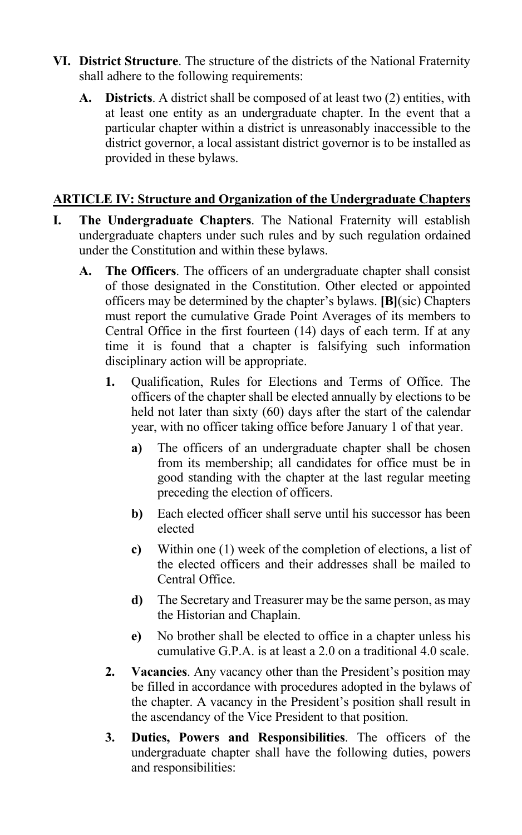- **VI. District Structure**. The structure of the districts of the National Fraternity shall adhere to the following requirements:
	- **A. Districts**. A district shall be composed of at least two (2) entities, with at least one entity as an undergraduate chapter. In the event that a particular chapter within a district is unreasonably inaccessible to the district governor, a local assistant district governor is to be installed as provided in these bylaws.

## **ARTICLE IV: Structure and Organization of the Undergraduate Chapters**

- **I. The Undergraduate Chapters**. The National Fraternity will establish undergraduate chapters under such rules and by such regulation ordained under the Constitution and within these bylaws.
	- **A. The Officers**. The officers of an undergraduate chapter shall consist of those designated in the Constitution. Other elected or appointed officers may be determined by the chapter's bylaws. **[B]**(sic) Chapters must report the cumulative Grade Point Averages of its members to Central Office in the first fourteen (14) days of each term. If at any time it is found that a chapter is falsifying such information disciplinary action will be appropriate.
		- **1.** Qualification, Rules for Elections and Terms of Office. The officers of the chapter shall be elected annually by elections to be held not later than sixty (60) days after the start of the calendar year, with no officer taking office before January 1 of that year.
			- **a)** The officers of an undergraduate chapter shall be chosen from its membership; all candidates for office must be in good standing with the chapter at the last regular meeting preceding the election of officers.
			- **b)** Each elected officer shall serve until his successor has been elected
			- **c)** Within one (1) week of the completion of elections, a list of the elected officers and their addresses shall be mailed to Central Office.
			- **d)** The Secretary and Treasurer may be the same person, as may the Historian and Chaplain.
			- **e)** No brother shall be elected to office in a chapter unless his cumulative G.P.A. is at least a 2.0 on a traditional 4.0 scale.
		- **2. Vacancies**. Any vacancy other than the President's position may be filled in accordance with procedures adopted in the bylaws of the chapter. A vacancy in the President's position shall result in the ascendancy of the Vice President to that position.
		- **3. Duties, Powers and Responsibilities**. The officers of the undergraduate chapter shall have the following duties, powers and responsibilities: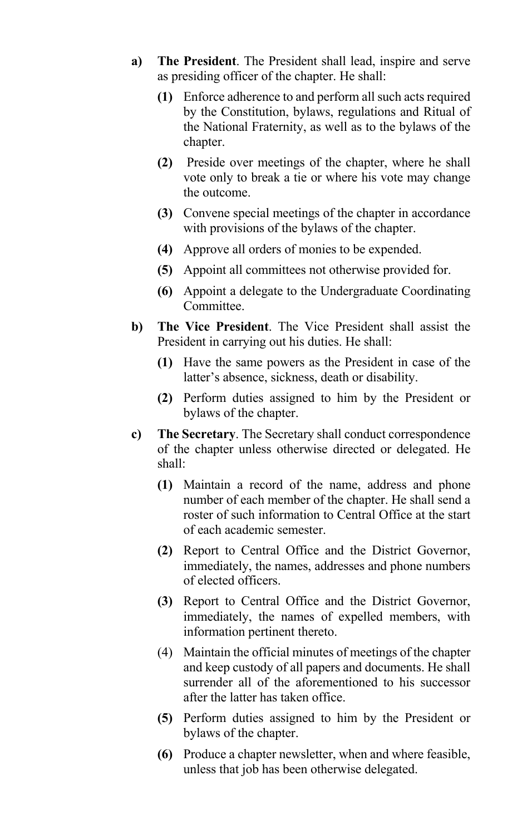- **a) The President**. The President shall lead, inspire and serve as presiding officer of the chapter. He shall:
	- **(1)** Enforce adherence to and perform all such acts required by the Constitution, bylaws, regulations and Ritual of the National Fraternity, as well as to the bylaws of the chapter.
	- **(2)** Preside over meetings of the chapter, where he shall vote only to break a tie or where his vote may change the outcome.
	- **(3)** Convene special meetings of the chapter in accordance with provisions of the bylaws of the chapter.
	- **(4)** Approve all orders of monies to be expended.
	- **(5)** Appoint all committees not otherwise provided for.
	- **(6)** Appoint a delegate to the Undergraduate Coordinating Committee.
- **b) The Vice President**. The Vice President shall assist the President in carrying out his duties. He shall:
	- **(1)** Have the same powers as the President in case of the latter's absence, sickness, death or disability.
	- **(2)** Perform duties assigned to him by the President or bylaws of the chapter.
- **c) The Secretary**. The Secretary shall conduct correspondence of the chapter unless otherwise directed or delegated. He shall:
	- **(1)** Maintain a record of the name, address and phone number of each member of the chapter. He shall send a roster of such information to Central Office at the start of each academic semester.
	- **(2)** Report to Central Office and the District Governor, immediately, the names, addresses and phone numbers of elected officers.
	- **(3)** Report to Central Office and the District Governor, immediately, the names of expelled members, with information pertinent thereto.
	- (4) Maintain the official minutes of meetings of the chapter and keep custody of all papers and documents. He shall surrender all of the aforementioned to his successor after the latter has taken office.
	- **(5)** Perform duties assigned to him by the President or bylaws of the chapter.
	- **(6)** Produce a chapter newsletter, when and where feasible, unless that job has been otherwise delegated.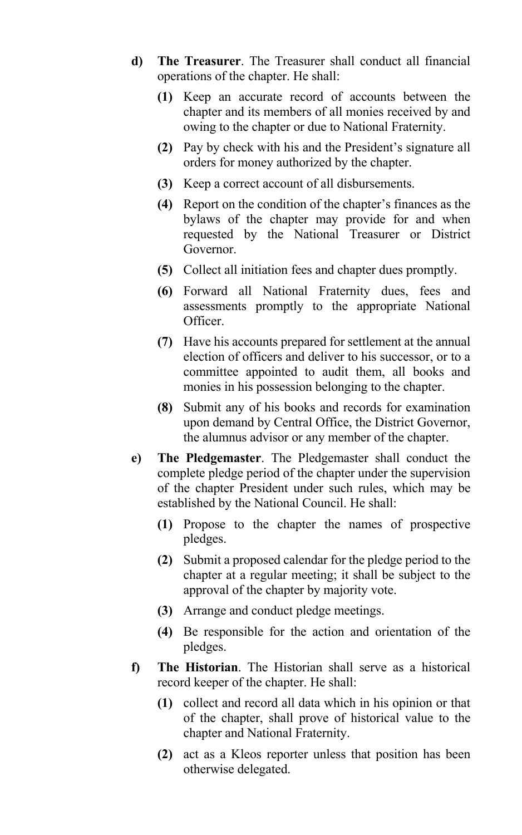- **d) The Treasurer**. The Treasurer shall conduct all financial operations of the chapter. He shall:
	- **(1)** Keep an accurate record of accounts between the chapter and its members of all monies received by and owing to the chapter or due to National Fraternity.
	- **(2)** Pay by check with his and the President's signature all orders for money authorized by the chapter.
	- **(3)** Keep a correct account of all disbursements.
	- **(4)** Report on the condition of the chapter's finances as the bylaws of the chapter may provide for and when requested by the National Treasurer or District Governor.
	- **(5)** Collect all initiation fees and chapter dues promptly.
	- **(6)** Forward all National Fraternity dues, fees and assessments promptly to the appropriate National Officer.
	- **(7)** Have his accounts prepared for settlement at the annual election of officers and deliver to his successor, or to a committee appointed to audit them, all books and monies in his possession belonging to the chapter.
	- **(8)** Submit any of his books and records for examination upon demand by Central Office, the District Governor, the alumnus advisor or any member of the chapter.
- **e) The Pledgemaster**. The Pledgemaster shall conduct the complete pledge period of the chapter under the supervision of the chapter President under such rules, which may be established by the National Council. He shall:
	- **(1)** Propose to the chapter the names of prospective pledges.
	- **(2)** Submit a proposed calendar for the pledge period to the chapter at a regular meeting; it shall be subject to the approval of the chapter by majority vote.
	- **(3)** Arrange and conduct pledge meetings.
	- **(4)** Be responsible for the action and orientation of the pledges.
- **f) The Historian**. The Historian shall serve as a historical record keeper of the chapter. He shall:
	- **(1)** collect and record all data which in his opinion or that of the chapter, shall prove of historical value to the chapter and National Fraternity.
	- **(2)** act as a Kleos reporter unless that position has been otherwise delegated.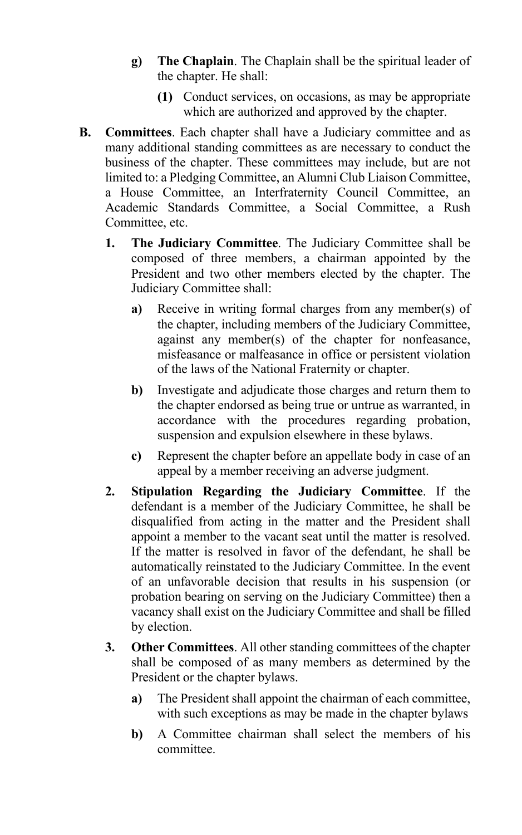- **g) The Chaplain**. The Chaplain shall be the spiritual leader of the chapter. He shall:
	- **(1)** Conduct services, on occasions, as may be appropriate which are authorized and approved by the chapter.
- **B. Committees**. Each chapter shall have a Judiciary committee and as many additional standing committees as are necessary to conduct the business of the chapter. These committees may include, but are not limited to: a Pledging Committee, an Alumni Club Liaison Committee, a House Committee, an Interfraternity Council Committee, an Academic Standards Committee, a Social Committee, a Rush Committee, etc.
	- **1. The Judiciary Committee**. The Judiciary Committee shall be composed of three members, a chairman appointed by the President and two other members elected by the chapter. The Judiciary Committee shall:
		- **a)** Receive in writing formal charges from any member(s) of the chapter, including members of the Judiciary Committee, against any member(s) of the chapter for nonfeasance, misfeasance or malfeasance in office or persistent violation of the laws of the National Fraternity or chapter.
		- **b)** Investigate and adjudicate those charges and return them to the chapter endorsed as being true or untrue as warranted, in accordance with the procedures regarding probation, suspension and expulsion elsewhere in these bylaws.
		- **c)** Represent the chapter before an appellate body in case of an appeal by a member receiving an adverse judgment.
	- **2. Stipulation Regarding the Judiciary Committee**. If the defendant is a member of the Judiciary Committee, he shall be disqualified from acting in the matter and the President shall appoint a member to the vacant seat until the matter is resolved. If the matter is resolved in favor of the defendant, he shall be automatically reinstated to the Judiciary Committee. In the event of an unfavorable decision that results in his suspension (or probation bearing on serving on the Judiciary Committee) then a vacancy shall exist on the Judiciary Committee and shall be filled by election.
	- **3. Other Committees**. All other standing committees of the chapter shall be composed of as many members as determined by the President or the chapter bylaws.
		- **a)** The President shall appoint the chairman of each committee, with such exceptions as may be made in the chapter bylaws
		- **b)** A Committee chairman shall select the members of his committee.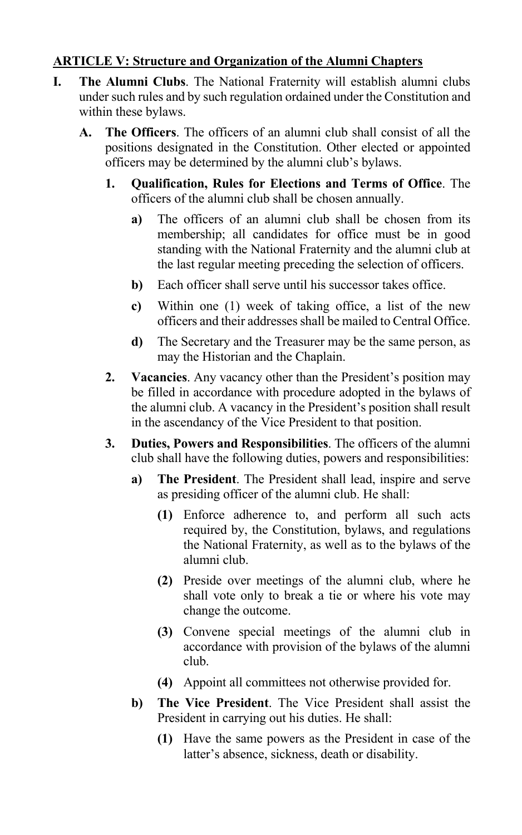## **ARTICLE V: Structure and Organization of the Alumni Chapters**

- **I. The Alumni Clubs**. The National Fraternity will establish alumni clubs under such rules and by such regulation ordained under the Constitution and within these bylaws.
	- **A. The Officers**. The officers of an alumni club shall consist of all the positions designated in the Constitution. Other elected or appointed officers may be determined by the alumni club's bylaws.
		- **1. Qualification, Rules for Elections and Terms of Office**. The officers of the alumni club shall be chosen annually.
			- **a)** The officers of an alumni club shall be chosen from its membership; all candidates for office must be in good standing with the National Fraternity and the alumni club at the last regular meeting preceding the selection of officers.
			- **b)** Each officer shall serve until his successor takes office.
			- **c)** Within one (1) week of taking office, a list of the new officers and their addresses shall be mailed to Central Office.
			- **d)** The Secretary and the Treasurer may be the same person, as may the Historian and the Chaplain.
		- **2. Vacancies**. Any vacancy other than the President's position may be filled in accordance with procedure adopted in the bylaws of the alumni club. A vacancy in the President's position shall result in the ascendancy of the Vice President to that position.
		- **3. Duties, Powers and Responsibilities**. The officers of the alumni club shall have the following duties, powers and responsibilities:
			- **a) The President**. The President shall lead, inspire and serve as presiding officer of the alumni club. He shall:
				- **(1)** Enforce adherence to, and perform all such acts required by, the Constitution, bylaws, and regulations the National Fraternity, as well as to the bylaws of the alumni club.
				- **(2)** Preside over meetings of the alumni club, where he shall vote only to break a tie or where his vote may change the outcome.
				- **(3)** Convene special meetings of the alumni club in accordance with provision of the bylaws of the alumni club.
				- **(4)** Appoint all committees not otherwise provided for.
			- **b) The Vice President**. The Vice President shall assist the President in carrying out his duties. He shall:
				- **(1)** Have the same powers as the President in case of the latter's absence, sickness, death or disability.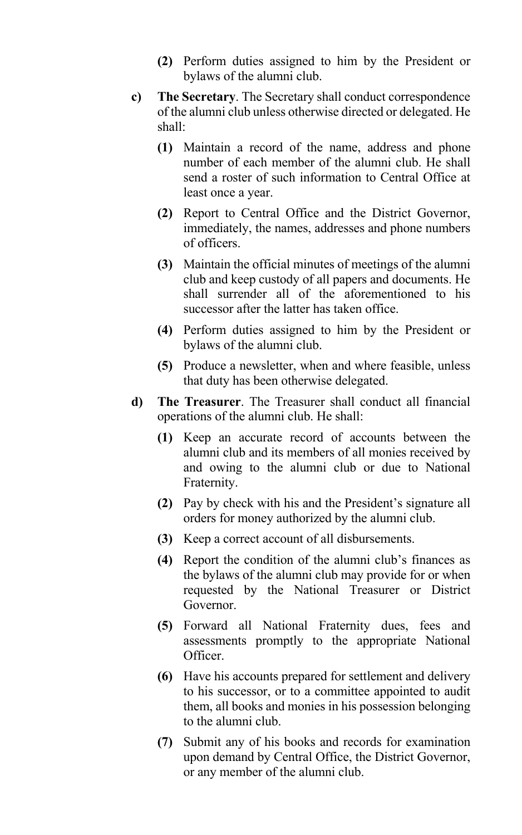- **(2)** Perform duties assigned to him by the President or bylaws of the alumni club.
- **c) The Secretary**. The Secretary shall conduct correspondence of the alumni club unless otherwise directed or delegated. He shall:
	- **(1)** Maintain a record of the name, address and phone number of each member of the alumni club. He shall send a roster of such information to Central Office at least once a year.
	- **(2)** Report to Central Office and the District Governor, immediately, the names, addresses and phone numbers of officers.
	- **(3)** Maintain the official minutes of meetings of the alumni club and keep custody of all papers and documents. He shall surrender all of the aforementioned to his successor after the latter has taken office.
	- **(4)** Perform duties assigned to him by the President or bylaws of the alumni club.
	- **(5)** Produce a newsletter, when and where feasible, unless that duty has been otherwise delegated.
- **d) The Treasurer**. The Treasurer shall conduct all financial operations of the alumni club. He shall:
	- **(1)** Keep an accurate record of accounts between the alumni club and its members of all monies received by and owing to the alumni club or due to National Fraternity.
	- **(2)** Pay by check with his and the President's signature all orders for money authorized by the alumni club.
	- **(3)** Keep a correct account of all disbursements.
	- **(4)** Report the condition of the alumni club's finances as the bylaws of the alumni club may provide for or when requested by the National Treasurer or District Governor.
	- **(5)** Forward all National Fraternity dues, fees and assessments promptly to the appropriate National Officer.
	- **(6)** Have his accounts prepared for settlement and delivery to his successor, or to a committee appointed to audit them, all books and monies in his possession belonging to the alumni club.
	- **(7)** Submit any of his books and records for examination upon demand by Central Office, the District Governor, or any member of the alumni club.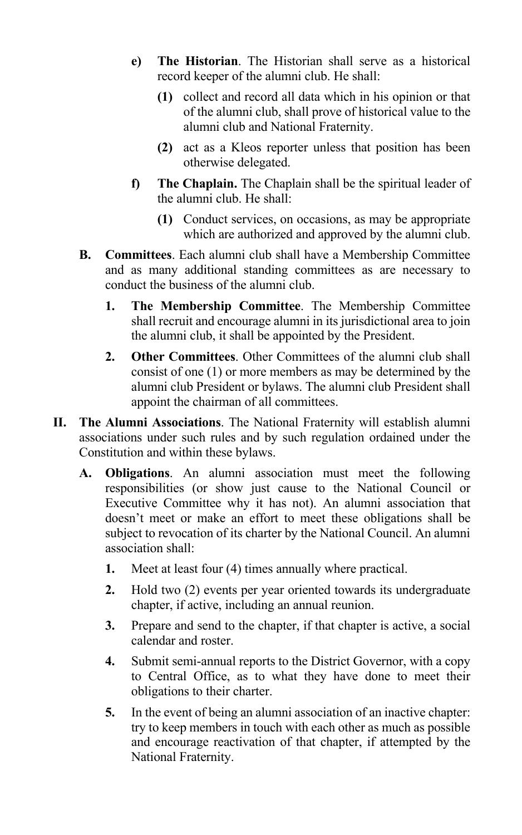- **e) The Historian**. The Historian shall serve as a historical record keeper of the alumni club. He shall:
	- **(1)** collect and record all data which in his opinion or that of the alumni club, shall prove of historical value to the alumni club and National Fraternity.
	- **(2)** act as a Kleos reporter unless that position has been otherwise delegated.
- **f) The Chaplain.** The Chaplain shall be the spiritual leader of the alumni club. He shall:
	- **(1)** Conduct services, on occasions, as may be appropriate which are authorized and approved by the alumni club.
- **B. Committees**. Each alumni club shall have a Membership Committee and as many additional standing committees as are necessary to conduct the business of the alumni club.
	- **1. The Membership Committee**. The Membership Committee shall recruit and encourage alumni in its jurisdictional area to join the alumni club, it shall be appointed by the President.
	- **2. Other Committees**. Other Committees of the alumni club shall consist of one (1) or more members as may be determined by the alumni club President or bylaws. The alumni club President shall appoint the chairman of all committees.
- **II. The Alumni Associations**. The National Fraternity will establish alumni associations under such rules and by such regulation ordained under the Constitution and within these bylaws.
	- **A. Obligations**. An alumni association must meet the following responsibilities (or show just cause to the National Council or Executive Committee why it has not). An alumni association that doesn't meet or make an effort to meet these obligations shall be subject to revocation of its charter by the National Council. An alumni association shall:
		- **1.** Meet at least four (4) times annually where practical.
		- **2.** Hold two (2) events per year oriented towards its undergraduate chapter, if active, including an annual reunion.
		- **3.** Prepare and send to the chapter, if that chapter is active, a social calendar and roster.
		- **4.** Submit semi-annual reports to the District Governor, with a copy to Central Office, as to what they have done to meet their obligations to their charter.
		- **5.** In the event of being an alumni association of an inactive chapter: try to keep members in touch with each other as much as possible and encourage reactivation of that chapter, if attempted by the National Fraternity.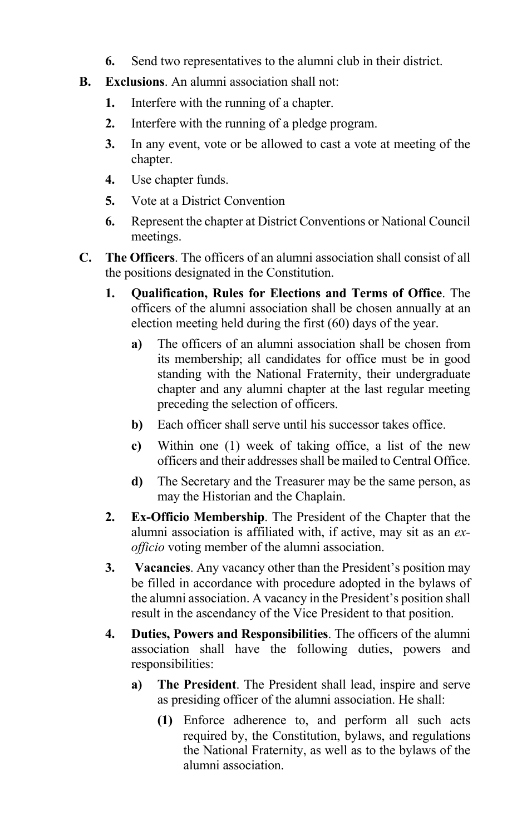- **6.** Send two representatives to the alumni club in their district.
- **B. Exclusions**. An alumni association shall not:
	- **1.** Interfere with the running of a chapter.
	- **2.** Interfere with the running of a pledge program.
	- **3.** In any event, vote or be allowed to cast a vote at meeting of the chapter.
	- **4.** Use chapter funds.
	- **5.** Vote at a District Convention
	- **6.** Represent the chapter at District Conventions or National Council meetings.
- **C. The Officers**. The officers of an alumni association shall consist of all the positions designated in the Constitution.
	- **1. Qualification, Rules for Elections and Terms of Office**. The officers of the alumni association shall be chosen annually at an election meeting held during the first (60) days of the year.
		- **a)** The officers of an alumni association shall be chosen from its membership; all candidates for office must be in good standing with the National Fraternity, their undergraduate chapter and any alumni chapter at the last regular meeting preceding the selection of officers.
		- **b)** Each officer shall serve until his successor takes office.
		- **c)** Within one (1) week of taking office, a list of the new officers and their addresses shall be mailed to Central Office.
		- **d)** The Secretary and the Treasurer may be the same person, as may the Historian and the Chaplain.
	- **2. Ex-Officio Membership**. The President of the Chapter that the alumni association is affiliated with, if active, may sit as an *exofficio* voting member of the alumni association.
	- **3. Vacancies**. Any vacancy other than the President's position may be filled in accordance with procedure adopted in the bylaws of the alumni association. A vacancy in the President's position shall result in the ascendancy of the Vice President to that position.
	- **4. Duties, Powers and Responsibilities**. The officers of the alumni association shall have the following duties, powers and responsibilities:
		- **a) The President**. The President shall lead, inspire and serve as presiding officer of the alumni association. He shall:
			- **(1)** Enforce adherence to, and perform all such acts required by, the Constitution, bylaws, and regulations the National Fraternity, as well as to the bylaws of the alumni association.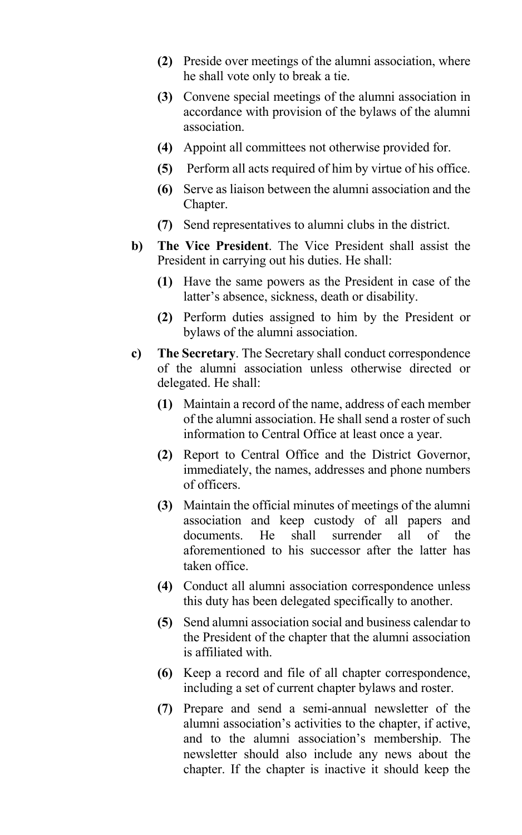- **(2)** Preside over meetings of the alumni association, where he shall vote only to break a tie.
- **(3)** Convene special meetings of the alumni association in accordance with provision of the bylaws of the alumni association.
- **(4)** Appoint all committees not otherwise provided for.
- **(5)** Perform all acts required of him by virtue of his office.
- **(6)** Serve as liaison between the alumni association and the Chapter.
- **(7)** Send representatives to alumni clubs in the district.
- **b) The Vice President**. The Vice President shall assist the President in carrying out his duties. He shall:
	- **(1)** Have the same powers as the President in case of the latter's absence, sickness, death or disability.
	- **(2)** Perform duties assigned to him by the President or bylaws of the alumni association.
- **c) The Secretary**. The Secretary shall conduct correspondence of the alumni association unless otherwise directed or delegated. He shall:
	- **(1)** Maintain a record of the name, address of each member of the alumni association. He shall send a roster of such information to Central Office at least once a year.
	- **(2)** Report to Central Office and the District Governor, immediately, the names, addresses and phone numbers of officers.
	- **(3)** Maintain the official minutes of meetings of the alumni association and keep custody of all papers and documents. He shall surrender all of the aforementioned to his successor after the latter has taken office.
	- **(4)** Conduct all alumni association correspondence unless this duty has been delegated specifically to another.
	- **(5)** Send alumni association social and business calendar to the President of the chapter that the alumni association is affiliated with.
	- **(6)** Keep a record and file of all chapter correspondence, including a set of current chapter bylaws and roster.
	- **(7)** Prepare and send a semi-annual newsletter of the alumni association's activities to the chapter, if active, and to the alumni association's membership. The newsletter should also include any news about the chapter. If the chapter is inactive it should keep the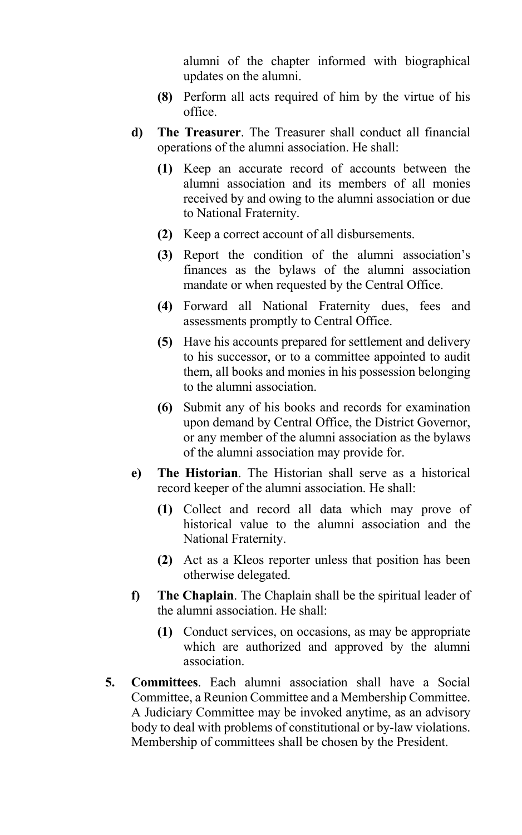alumni of the chapter informed with biographical updates on the alumni.

- **(8)** Perform all acts required of him by the virtue of his office.
- **d) The Treasurer**. The Treasurer shall conduct all financial operations of the alumni association. He shall:
	- **(1)** Keep an accurate record of accounts between the alumni association and its members of all monies received by and owing to the alumni association or due to National Fraternity.
	- **(2)** Keep a correct account of all disbursements.
	- **(3)** Report the condition of the alumni association's finances as the bylaws of the alumni association mandate or when requested by the Central Office.
	- **(4)** Forward all National Fraternity dues, fees and assessments promptly to Central Office.
	- **(5)** Have his accounts prepared for settlement and delivery to his successor, or to a committee appointed to audit them, all books and monies in his possession belonging to the alumni association.
	- **(6)** Submit any of his books and records for examination upon demand by Central Office, the District Governor, or any member of the alumni association as the bylaws of the alumni association may provide for.
- **e) The Historian**. The Historian shall serve as a historical record keeper of the alumni association. He shall:
	- **(1)** Collect and record all data which may prove of historical value to the alumni association and the National Fraternity.
	- **(2)** Act as a Kleos reporter unless that position has been otherwise delegated.
- **f) The Chaplain**. The Chaplain shall be the spiritual leader of the alumni association. He shall:
	- **(1)** Conduct services, on occasions, as may be appropriate which are authorized and approved by the alumni association.
- **5. Committees**. Each alumni association shall have a Social Committee, a Reunion Committee and a Membership Committee. A Judiciary Committee may be invoked anytime, as an advisory body to deal with problems of constitutional or by-law violations. Membership of committees shall be chosen by the President.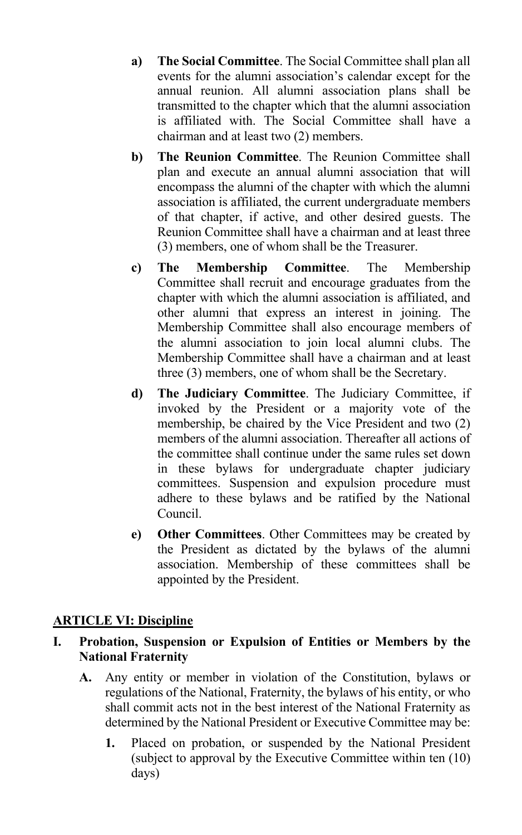- **a) The Social Committee**. The Social Committee shall plan all events for the alumni association's calendar except for the annual reunion. All alumni association plans shall be transmitted to the chapter which that the alumni association is affiliated with. The Social Committee shall have a chairman and at least two (2) members.
- **b) The Reunion Committee**. The Reunion Committee shall plan and execute an annual alumni association that will encompass the alumni of the chapter with which the alumni association is affiliated, the current undergraduate members of that chapter, if active, and other desired guests. The Reunion Committee shall have a chairman and at least three (3) members, one of whom shall be the Treasurer.
- **c) The Membership Committee**. The Membership Committee shall recruit and encourage graduates from the chapter with which the alumni association is affiliated, and other alumni that express an interest in joining. The Membership Committee shall also encourage members of the alumni association to join local alumni clubs. The Membership Committee shall have a chairman and at least three (3) members, one of whom shall be the Secretary.
- **d) The Judiciary Committee**. The Judiciary Committee, if invoked by the President or a majority vote of the membership, be chaired by the Vice President and two (2) members of the alumni association. Thereafter all actions of the committee shall continue under the same rules set down in these bylaws for undergraduate chapter judiciary committees. Suspension and expulsion procedure must adhere to these bylaws and be ratified by the National Council.
- **e) Other Committees**. Other Committees may be created by the President as dictated by the bylaws of the alumni association. Membership of these committees shall be appointed by the President.

#### **ARTICLE VI: Discipline**

#### **I. Probation, Suspension or Expulsion of Entities or Members by the National Fraternity**

- **A.** Any entity or member in violation of the Constitution, bylaws or regulations of the National, Fraternity, the bylaws of his entity, or who shall commit acts not in the best interest of the National Fraternity as determined by the National President or Executive Committee may be:
	- **1.** Placed on probation, or suspended by the National President (subject to approval by the Executive Committee within ten (10) days)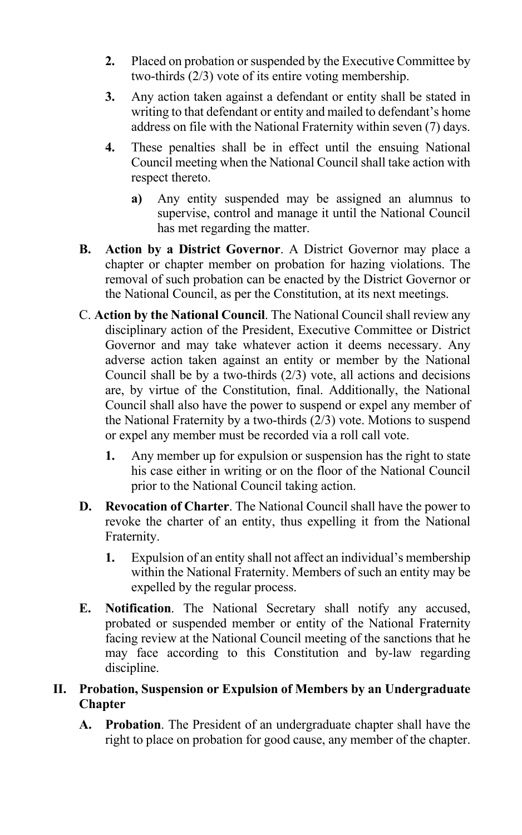- **2.** Placed on probation or suspended by the Executive Committee by two-thirds (2/3) vote of its entire voting membership.
- **3.** Any action taken against a defendant or entity shall be stated in writing to that defendant or entity and mailed to defendant's home address on file with the National Fraternity within seven (7) days.
- **4.** These penalties shall be in effect until the ensuing National Council meeting when the National Council shall take action with respect thereto.
	- **a)** Any entity suspended may be assigned an alumnus to supervise, control and manage it until the National Council has met regarding the matter.
- **B. Action by a District Governor**. A District Governor may place a chapter or chapter member on probation for hazing violations. The removal of such probation can be enacted by the District Governor or the National Council, as per the Constitution, at its next meetings.
- C. **Action by the National Council**. The National Council shall review any disciplinary action of the President, Executive Committee or District Governor and may take whatever action it deems necessary. Any adverse action taken against an entity or member by the National Council shall be by a two-thirds  $(2/3)$  vote, all actions and decisions are, by virtue of the Constitution, final. Additionally, the National Council shall also have the power to suspend or expel any member of the National Fraternity by a two-thirds  $(2/3)$  vote. Motions to suspend or expel any member must be recorded via a roll call vote.
	- **1.** Any member up for expulsion or suspension has the right to state his case either in writing or on the floor of the National Council prior to the National Council taking action.
- **D. Revocation of Charter**. The National Council shall have the power to revoke the charter of an entity, thus expelling it from the National Fraternity.
	- **1.** Expulsion of an entity shall not affect an individual's membership within the National Fraternity. Members of such an entity may be expelled by the regular process.
- **E. Notification**. The National Secretary shall notify any accused, probated or suspended member or entity of the National Fraternity facing review at the National Council meeting of the sanctions that he may face according to this Constitution and by-law regarding discipline.

## **II. Probation, Suspension or Expulsion of Members by an Undergraduate Chapter**

**A. Probation**. The President of an undergraduate chapter shall have the right to place on probation for good cause, any member of the chapter.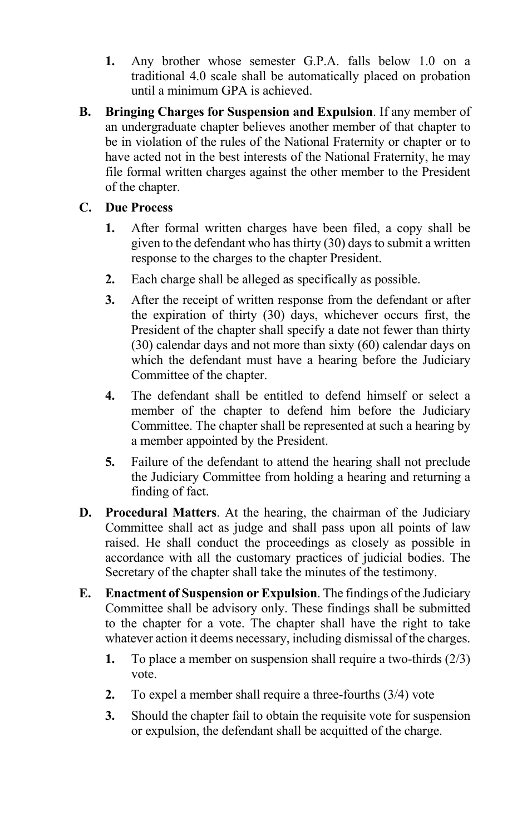- **1.** Any brother whose semester G.P.A. falls below 1.0 on a traditional 4.0 scale shall be automatically placed on probation until a minimum GPA is achieved.
- **B. Bringing Charges for Suspension and Expulsion**. If any member of an undergraduate chapter believes another member of that chapter to be in violation of the rules of the National Fraternity or chapter or to have acted not in the best interests of the National Fraternity, he may file formal written charges against the other member to the President of the chapter.

## **C. Due Process**

- **1.** After formal written charges have been filed, a copy shall be given to the defendant who has thirty (30) days to submit a written response to the charges to the chapter President.
- **2.** Each charge shall be alleged as specifically as possible.
- **3.** After the receipt of written response from the defendant or after the expiration of thirty (30) days, whichever occurs first, the President of the chapter shall specify a date not fewer than thirty (30) calendar days and not more than sixty (60) calendar days on which the defendant must have a hearing before the Judiciary Committee of the chapter.
- **4.** The defendant shall be entitled to defend himself or select a member of the chapter to defend him before the Judiciary Committee. The chapter shall be represented at such a hearing by a member appointed by the President.
- **5.** Failure of the defendant to attend the hearing shall not preclude the Judiciary Committee from holding a hearing and returning a finding of fact.
- **D. Procedural Matters**. At the hearing, the chairman of the Judiciary Committee shall act as judge and shall pass upon all points of law raised. He shall conduct the proceedings as closely as possible in accordance with all the customary practices of judicial bodies. The Secretary of the chapter shall take the minutes of the testimony.
- **E. Enactment of Suspension or Expulsion**. The findings of the Judiciary Committee shall be advisory only. These findings shall be submitted to the chapter for a vote. The chapter shall have the right to take whatever action it deems necessary, including dismissal of the charges.
	- **1.** To place a member on suspension shall require a two-thirds (2/3) vote.
	- **2.** To expel a member shall require a three-fourths (3/4) vote
	- **3.** Should the chapter fail to obtain the requisite vote for suspension or expulsion, the defendant shall be acquitted of the charge.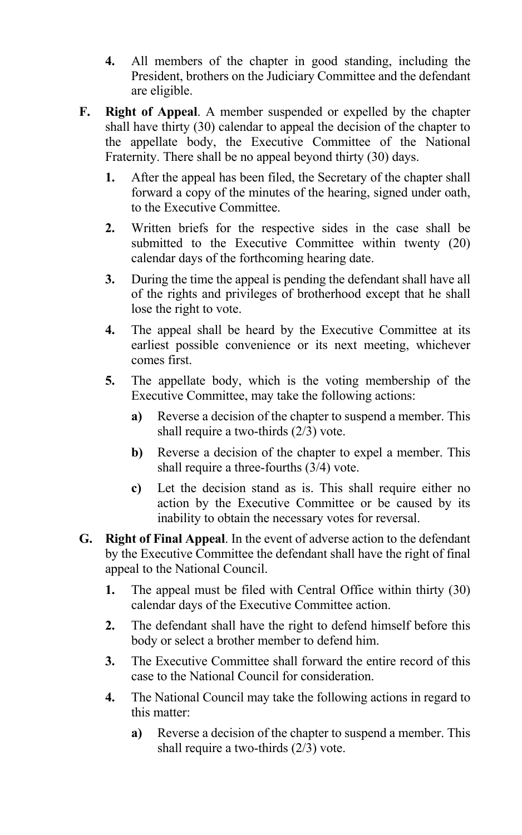- **4.** All members of the chapter in good standing, including the President, brothers on the Judiciary Committee and the defendant are eligible.
- **F. Right of Appeal**. A member suspended or expelled by the chapter shall have thirty (30) calendar to appeal the decision of the chapter to the appellate body, the Executive Committee of the National Fraternity. There shall be no appeal beyond thirty (30) days.
	- **1.** After the appeal has been filed, the Secretary of the chapter shall forward a copy of the minutes of the hearing, signed under oath, to the Executive Committee.
	- **2.** Written briefs for the respective sides in the case shall be submitted to the Executive Committee within twenty (20) calendar days of the forthcoming hearing date.
	- **3.** During the time the appeal is pending the defendant shall have all of the rights and privileges of brotherhood except that he shall lose the right to vote.
	- **4.** The appeal shall be heard by the Executive Committee at its earliest possible convenience or its next meeting, whichever comes first.
	- **5.** The appellate body, which is the voting membership of the Executive Committee, may take the following actions:
		- **a)** Reverse a decision of the chapter to suspend a member. This shall require a two-thirds (2/3) vote.
		- **b)** Reverse a decision of the chapter to expel a member. This shall require a three-fourths (3/4) vote.
		- **c)** Let the decision stand as is. This shall require either no action by the Executive Committee or be caused by its inability to obtain the necessary votes for reversal.
- **G. Right of Final Appeal**. In the event of adverse action to the defendant by the Executive Committee the defendant shall have the right of final appeal to the National Council.
	- **1.** The appeal must be filed with Central Office within thirty (30) calendar days of the Executive Committee action.
	- **2.** The defendant shall have the right to defend himself before this body or select a brother member to defend him.
	- **3.** The Executive Committee shall forward the entire record of this case to the National Council for consideration.
	- **4.** The National Council may take the following actions in regard to this matter:
		- **a)** Reverse a decision of the chapter to suspend a member. This shall require a two-thirds (2/3) vote.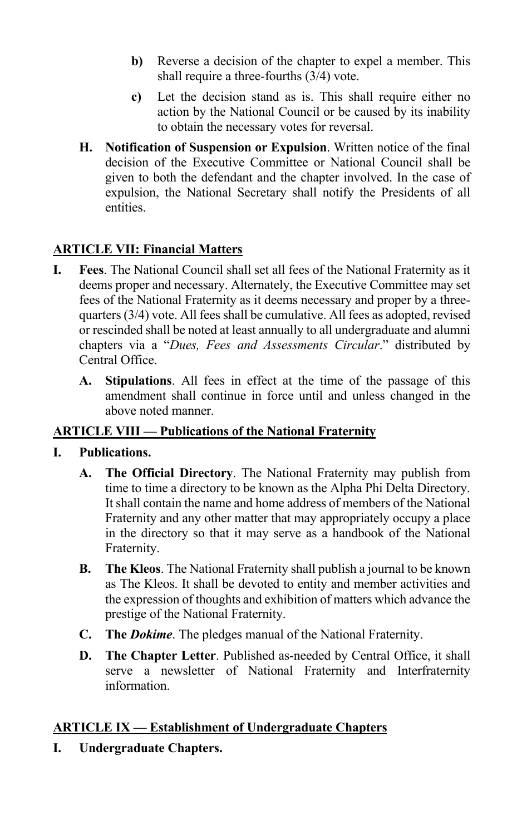- **b)** Reverse a decision of the chapter to expel a member. This shall require a three-fourths (3/4) vote.
- **c)** Let the decision stand as is. This shall require either no action by the National Council or be caused by its inability to obtain the necessary votes for reversal.
- **H. Notification of Suspension or Expulsion**. Written notice of the final decision of the Executive Committee or National Council shall be given to both the defendant and the chapter involved. In the case of expulsion, the National Secretary shall notify the Presidents of all entities.

## **ARTICLE VII: Financial Matters**

- **I. Fees**. The National Council shall set all fees of the National Fraternity as it deems proper and necessary. Alternately, the Executive Committee may set fees of the National Fraternity as it deems necessary and proper by a threequarters (3/4) vote. All fees shall be cumulative. All fees as adopted, revised or rescinded shall be noted at least annually to all undergraduate and alumni chapters via a "*Dues, Fees and Assessments Circular*." distributed by Central Office.
	- **A. Stipulations**. All fees in effect at the time of the passage of this amendment shall continue in force until and unless changed in the above noted manner.

## **ARTICLE VIII — Publications of the National Fraternity**

## **I. Publications.**

- **A. The Official Directory**. The National Fraternity may publish from time to time a directory to be known as the Alpha Phi Delta Directory. It shall contain the name and home address of members of the National Fraternity and any other matter that may appropriately occupy a place in the directory so that it may serve as a handbook of the National Fraternity.
- **B. The Kleos**. The National Fraternity shall publish a journal to be known as The Kleos. It shall be devoted to entity and member activities and the expression of thoughts and exhibition of matters which advance the prestige of the National Fraternity.
- **C. The** *Dokime*. The pledges manual of the National Fraternity.
- **D. The Chapter Letter**. Published as-needed by Central Office, it shall serve a newsletter of National Fraternity and Interfraternity information.

## **ARTICLE IX — Establishment of Undergraduate Chapters**

**I. Undergraduate Chapters.**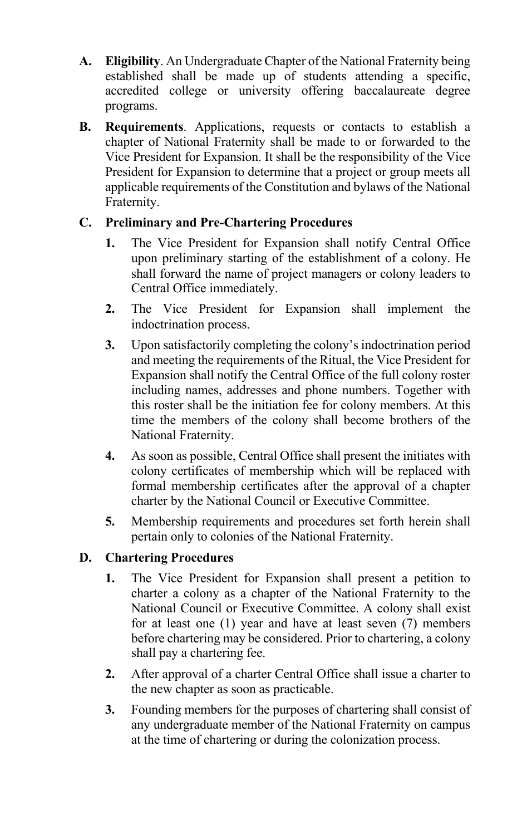- **A. Eligibility**. An Undergraduate Chapter of the National Fraternity being established shall be made up of students attending a specific, accredited college or university offering baccalaureate degree programs.
- **B. Requirements**. Applications, requests or contacts to establish a chapter of National Fraternity shall be made to or forwarded to the Vice President for Expansion. It shall be the responsibility of the Vice President for Expansion to determine that a project or group meets all applicable requirements of the Constitution and bylaws of the National Fraternity.

## **C. Preliminary and Pre-Chartering Procedures**

- **1.** The Vice President for Expansion shall notify Central Office upon preliminary starting of the establishment of a colony. He shall forward the name of project managers or colony leaders to Central Office immediately.
- **2.** The Vice President for Expansion shall implement the indoctrination process.
- **3.** Upon satisfactorily completing the colony's indoctrination period and meeting the requirements of the Ritual, the Vice President for Expansion shall notify the Central Office of the full colony roster including names, addresses and phone numbers. Together with this roster shall be the initiation fee for colony members. At this time the members of the colony shall become brothers of the National Fraternity.
- **4.** As soon as possible, Central Office shall present the initiates with colony certificates of membership which will be replaced with formal membership certificates after the approval of a chapter charter by the National Council or Executive Committee.
- **5.** Membership requirements and procedures set forth herein shall pertain only to colonies of the National Fraternity.

## **D. Chartering Procedures**

- **1.** The Vice President for Expansion shall present a petition to charter a colony as a chapter of the National Fraternity to the National Council or Executive Committee. A colony shall exist for at least one (1) year and have at least seven (7) members before chartering may be considered. Prior to chartering, a colony shall pay a chartering fee.
- **2.** After approval of a charter Central Office shall issue a charter to the new chapter as soon as practicable.
- **3.** Founding members for the purposes of chartering shall consist of any undergraduate member of the National Fraternity on campus at the time of chartering or during the colonization process.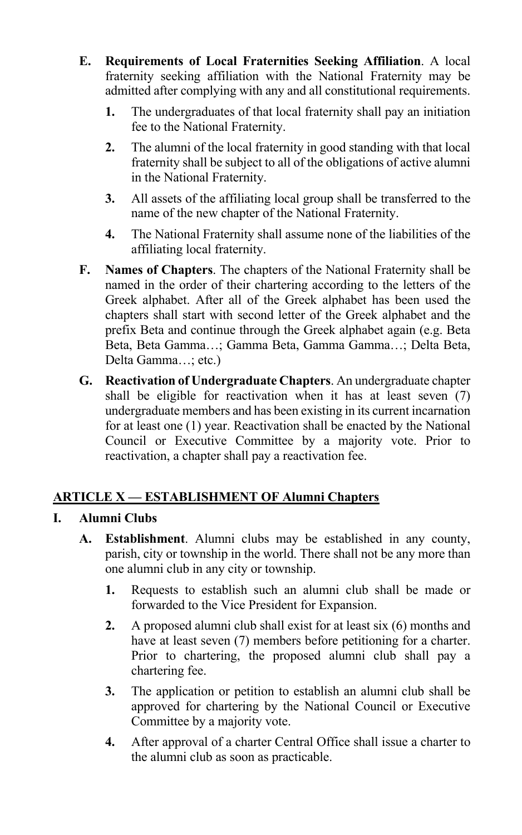- **E. Requirements of Local Fraternities Seeking Affiliation**. A local fraternity seeking affiliation with the National Fraternity may be admitted after complying with any and all constitutional requirements.
	- **1.** The undergraduates of that local fraternity shall pay an initiation fee to the National Fraternity.
	- **2.** The alumni of the local fraternity in good standing with that local fraternity shall be subject to all of the obligations of active alumni in the National Fraternity.
	- **3.** All assets of the affiliating local group shall be transferred to the name of the new chapter of the National Fraternity.
	- **4.** The National Fraternity shall assume none of the liabilities of the affiliating local fraternity.
- **F. Names of Chapters**. The chapters of the National Fraternity shall be named in the order of their chartering according to the letters of the Greek alphabet. After all of the Greek alphabet has been used the chapters shall start with second letter of the Greek alphabet and the prefix Beta and continue through the Greek alphabet again (e.g. Beta Beta, Beta Gamma…; Gamma Beta, Gamma Gamma…; Delta Beta, Delta Gamma…; etc.)
- **G. Reactivation of Undergraduate Chapters**. An undergraduate chapter shall be eligible for reactivation when it has at least seven (7) undergraduate members and has been existing in its current incarnation for at least one (1) year. Reactivation shall be enacted by the National Council or Executive Committee by a majority vote. Prior to reactivation, a chapter shall pay a reactivation fee.

# **ARTICLE X — ESTABLISHMENT OF Alumni Chapters**

## **I. Alumni Clubs**

- **A. Establishment**. Alumni clubs may be established in any county, parish, city or township in the world. There shall not be any more than one alumni club in any city or township.
	- **1.** Requests to establish such an alumni club shall be made or forwarded to the Vice President for Expansion.
	- **2.** A proposed alumni club shall exist for at least six (6) months and have at least seven (7) members before petitioning for a charter. Prior to chartering, the proposed alumni club shall pay a chartering fee.
	- **3.** The application or petition to establish an alumni club shall be approved for chartering by the National Council or Executive Committee by a majority vote.
	- **4.** After approval of a charter Central Office shall issue a charter to the alumni club as soon as practicable.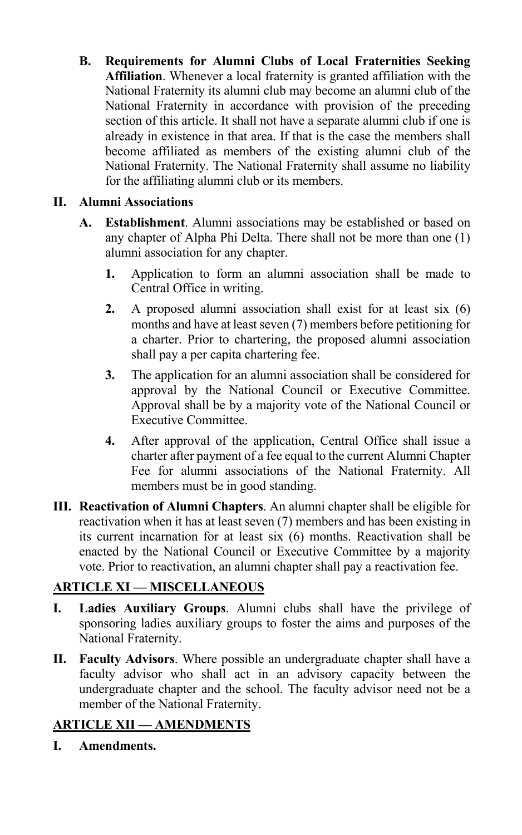**B. Requirements for Alumni Clubs of Local Fraternities Seeking Affiliation**. Whenever a local fraternity is granted affiliation with the National Fraternity its alumni club may become an alumni club of the National Fraternity in accordance with provision of the preceding section of this article. It shall not have a separate alumni club if one is already in existence in that area. If that is the case the members shall become affiliated as members of the existing alumni club of the National Fraternity. The National Fraternity shall assume no liability for the affiliating alumni club or its members.

## **II. Alumni Associations**

- **A. Establishment**. Alumni associations may be established or based on any chapter of Alpha Phi Delta. There shall not be more than one (1) alumni association for any chapter.
	- **1.** Application to form an alumni association shall be made to Central Office in writing.
	- **2.** A proposed alumni association shall exist for at least six (6) months and have at least seven (7) members before petitioning for a charter. Prior to chartering, the proposed alumni association shall pay a per capita chartering fee.
	- **3.** The application for an alumni association shall be considered for approval by the National Council or Executive Committee. Approval shall be by a majority vote of the National Council or Executive Committee.
	- **4.** After approval of the application, Central Office shall issue a charter after payment of a fee equal to the current Alumni Chapter Fee for alumni associations of the National Fraternity. All members must be in good standing.
- **III. Reactivation of Alumni Chapters**. An alumni chapter shall be eligible for reactivation when it has at least seven (7) members and has been existing in its current incarnation for at least six (6) months. Reactivation shall be enacted by the National Council or Executive Committee by a majority vote. Prior to reactivation, an alumni chapter shall pay a reactivation fee.

# **ARTICLE XI — MISCELLANEOUS**

- **I. Ladies Auxiliary Groups**. Alumni clubs shall have the privilege of sponsoring ladies auxiliary groups to foster the aims and purposes of the National Fraternity.
- **II. Faculty Advisors**. Where possible an undergraduate chapter shall have a faculty advisor who shall act in an advisory capacity between the undergraduate chapter and the school. The faculty advisor need not be a member of the National Fraternity.

# **ARTICLE XII — AMENDMENTS**

**I. Amendments.**